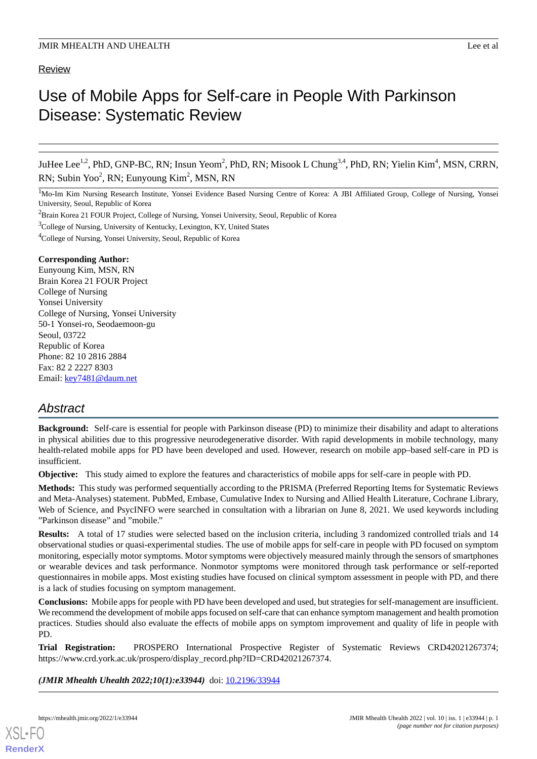# Review

# Use of Mobile Apps for Self-care in People With Parkinson Disease: Systematic Review

JuHee Lee<sup>1,2</sup>, PhD, GNP-BC, RN; Insun Yeom<sup>2</sup>, PhD, RN; Misook L Chung<sup>3,4</sup>, PhD, RN; Yielin Kim<sup>4</sup>, MSN, CRRN, RN; Subin Yoo<sup>2</sup>, RN; Eunyoung Kim<sup>2</sup>, MSN, RN

<sup>1</sup>Mo-Im Kim Nursing Research Institute, Yonsei Evidence Based Nursing Centre of Korea: A JBI Affiliated Group, College of Nursing, Yonsei University, Seoul, Republic of Korea

<sup>3</sup>College of Nursing, University of Kentucky, Lexington, KY, United States

<sup>4</sup>College of Nursing, Yonsei University, Seoul, Republic of Korea

#### **Corresponding Author:**

Eunyoung Kim, MSN, RN Brain Korea 21 FOUR Project College of Nursing Yonsei University College of Nursing, Yonsei University 50-1 Yonsei-ro, Seodaemoon-gu Seoul, 03722 Republic of Korea Phone: 82 10 2816 2884 Fax: 82 2 2227 8303 Email: [key7481@daum.net](mailto:key7481@daum.net)

# *Abstract*

**Background:** Self-care is essential for people with Parkinson disease (PD) to minimize their disability and adapt to alterations in physical abilities due to this progressive neurodegenerative disorder. With rapid developments in mobile technology, many health-related mobile apps for PD have been developed and used. However, research on mobile app–based self-care in PD is insufficient.

**Objective:** This study aimed to explore the features and characteristics of mobile apps for self-care in people with PD.

**Methods:** This study was performed sequentially according to the PRISMA (Preferred Reporting Items for Systematic Reviews and Meta-Analyses) statement. PubMed, Embase, Cumulative Index to Nursing and Allied Health Literature, Cochrane Library, Web of Science, and PsycINFO were searched in consultation with a librarian on June 8, 2021. We used keywords including "Parkinson disease" and "mobile."

**Results:** A total of 17 studies were selected based on the inclusion criteria, including 3 randomized controlled trials and 14 observational studies or quasi-experimental studies. The use of mobile apps for self-care in people with PD focused on symptom monitoring, especially motor symptoms. Motor symptoms were objectively measured mainly through the sensors of smartphones or wearable devices and task performance. Nonmotor symptoms were monitored through task performance or self-reported questionnaires in mobile apps. Most existing studies have focused on clinical symptom assessment in people with PD, and there is a lack of studies focusing on symptom management.

**Conclusions:** Mobile apps for people with PD have been developed and used, but strategies for self-management are insufficient. We recommend the development of mobile apps focused on self-care that can enhance symptom management and health promotion practices. Studies should also evaluate the effects of mobile apps on symptom improvement and quality of life in people with PD.

**Trial Registration:** PROSPERO International Prospective Register of Systematic Reviews CRD42021267374; https://www.crd.york.ac.uk/prospero/display\_record.php?ID=CRD42021267374.

(JMIR Mhealth Uhealth 2022;10(1):e33944) doi: [10.2196/33944](http://dx.doi.org/10.2196/33944)

[XSL](http://www.w3.org/Style/XSL)•FO **[RenderX](http://www.renderx.com/)**

<sup>&</sup>lt;sup>2</sup>Brain Korea 21 FOUR Project, College of Nursing, Yonsei University, Seoul, Republic of Korea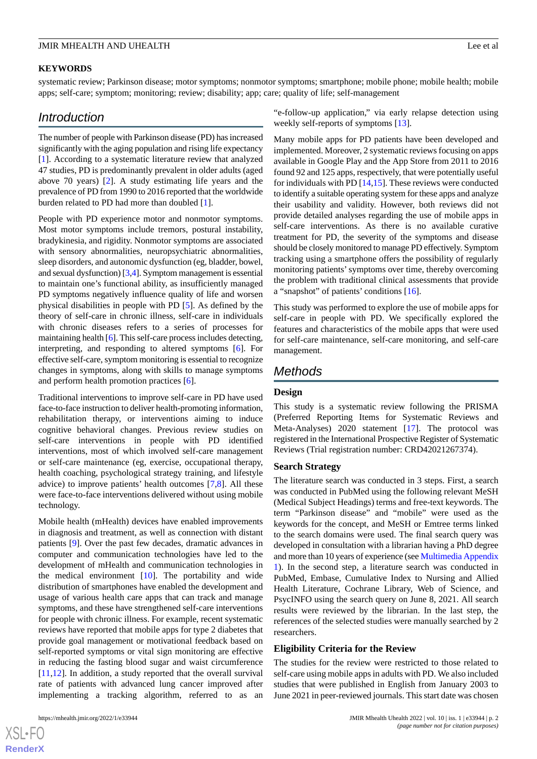#### **KEYWORDS**

systematic review; Parkinson disease; motor symptoms; nonmotor symptoms; smartphone; mobile phone; mobile health; mobile apps; self-care; symptom; monitoring; review; disability; app; care; quality of life; self-management

# *Introduction*

The number of people with Parkinson disease (PD) has increased significantly with the aging population and rising life expectancy [[1\]](#page-15-0). According to a systematic literature review that analyzed 47 studies, PD is predominantly prevalent in older adults (aged above 70 years) [\[2](#page-15-1)]. A study estimating life years and the prevalence of PD from 1990 to 2016 reported that the worldwide burden related to PD had more than doubled [[1\]](#page-15-0).

People with PD experience motor and nonmotor symptoms. Most motor symptoms include tremors, postural instability, bradykinesia, and rigidity. Nonmotor symptoms are associated with sensory abnormalities, neuropsychiatric abnormalities, sleep disorders, and autonomic dysfunction (eg, bladder, bowel, and sexual dysfunction) [\[3](#page-15-2)[,4](#page-15-3)]. Symptom management is essential to maintain one's functional ability, as insufficiently managed PD symptoms negatively influence quality of life and worsen physical disabilities in people with PD [[5\]](#page-15-4). As defined by the theory of self-care in chronic illness, self-care in individuals with chronic diseases refers to a series of processes for maintaining health [\[6](#page-15-5)]. This self-care process includes detecting, interpreting, and responding to altered symptoms [[6\]](#page-15-5). For effective self-care, symptom monitoring is essential to recognize changes in symptoms, along with skills to manage symptoms and perform health promotion practices [[6\]](#page-15-5).

Traditional interventions to improve self-care in PD have used face-to-face instruction to deliver health-promoting information, rehabilitation therapy, or interventions aiming to induce cognitive behavioral changes. Previous review studies on self-care interventions in people with PD identified interventions, most of which involved self-care management or self-care maintenance (eg, exercise, occupational therapy, health coaching, psychological strategy training, and lifestyle advice) to improve patients' health outcomes [\[7](#page-15-6),[8\]](#page-15-7). All these were face-to-face interventions delivered without using mobile technology.

Mobile health (mHealth) devices have enabled improvements in diagnosis and treatment, as well as connection with distant patients [\[9](#page-15-8)]. Over the past few decades, dramatic advances in computer and communication technologies have led to the development of mHealth and communication technologies in the medical environment [\[10](#page-15-9)]. The portability and wide distribution of smartphones have enabled the development and usage of various health care apps that can track and manage symptoms, and these have strengthened self-care interventions for people with chronic illness. For example, recent systematic reviews have reported that mobile apps for type 2 diabetes that provide goal management or motivational feedback based on self-reported symptoms or vital sign monitoring are effective in reducing the fasting blood sugar and waist circumference [[11](#page-15-10)[,12](#page-15-11)]. In addition, a study reported that the overall survival rate of patients with advanced lung cancer improved after implementing a tracking algorithm, referred to as an

"e-follow-up application," via early relapse detection using weekly self-reports of symptoms [[13\]](#page-15-12).

Many mobile apps for PD patients have been developed and implemented. Moreover, 2 systematic reviews focusing on apps available in Google Play and the App Store from 2011 to 2016 found 92 and 125 apps, respectively, that were potentially useful for individuals with PD [\[14](#page-15-13),[15\]](#page-15-14). These reviews were conducted to identify a suitable operating system for these apps and analyze their usability and validity. However, both reviews did not provide detailed analyses regarding the use of mobile apps in self-care interventions. As there is no available curative treatment for PD, the severity of the symptoms and disease should be closely monitored to manage PD effectively. Symptom tracking using a smartphone offers the possibility of regularly monitoring patients'symptoms over time, thereby overcoming the problem with traditional clinical assessments that provide a "snapshot" of patients' conditions [[16\]](#page-15-15).

This study was performed to explore the use of mobile apps for self-care in people with PD. We specifically explored the features and characteristics of the mobile apps that were used for self-care maintenance, self-care monitoring, and self-care management.

# *Methods*

#### **Design**

This study is a systematic review following the PRISMA (Preferred Reporting Items for Systematic Reviews and Meta-Analyses) 2020 statement [[17\]](#page-15-16). The protocol was registered in the International Prospective Register of Systematic Reviews (Trial registration number: CRD42021267374).

#### **Search Strategy**

The literature search was conducted in 3 steps. First, a search was conducted in PubMed using the following relevant MeSH (Medical Subject Headings) terms and free-text keywords. The term "Parkinson disease" and "mobile" were used as the keywords for the concept, and MeSH or Emtree terms linked to the search domains were used. The final search query was developed in consultation with a librarian having a PhD degree and more than 10 years of experience (see [Multimedia Appendix](#page-15-17) [1\)](#page-15-17). In the second step, a literature search was conducted in PubMed, Embase, Cumulative Index to Nursing and Allied Health Literature, Cochrane Library, Web of Science, and PsycINFO using the search query on June 8, 2021. All search results were reviewed by the librarian. In the last step, the references of the selected studies were manually searched by 2 researchers.

#### **Eligibility Criteria for the Review**

The studies for the review were restricted to those related to self-care using mobile apps in adults with PD. We also included studies that were published in English from January 2003 to June 2021 in peer-reviewed journals. This start date was chosen

 $XS$ -FO **[RenderX](http://www.renderx.com/)**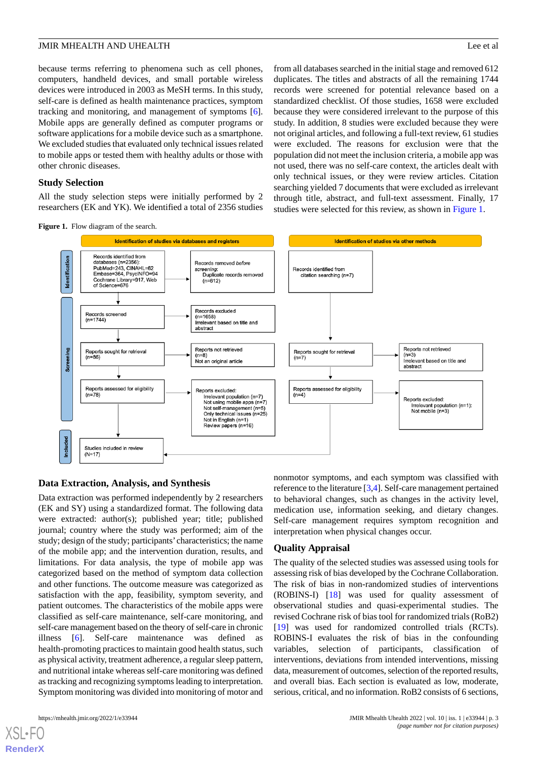because terms referring to phenomena such as cell phones, computers, handheld devices, and small portable wireless devices were introduced in 2003 as MeSH terms. In this study, self-care is defined as health maintenance practices, symptom tracking and monitoring, and management of symptoms [[6\]](#page-15-5). Mobile apps are generally defined as computer programs or software applications for a mobile device such as a smartphone. We excluded studies that evaluated only technical issues related to mobile apps or tested them with healthy adults or those with other chronic diseases.

#### **Study Selection**

<span id="page-2-0"></span>All the study selection steps were initially performed by 2 researchers (EK and YK). We identified a total of 2356 studies

from all databases searched in the initial stage and removed 612 duplicates. The titles and abstracts of all the remaining 1744 records were screened for potential relevance based on a standardized checklist. Of those studies, 1658 were excluded because they were considered irrelevant to the purpose of this study. In addition, 8 studies were excluded because they were not original articles, and following a full-text review, 61 studies were excluded. The reasons for exclusion were that the population did not meet the inclusion criteria, a mobile app was not used, there was no self-care context, the articles dealt with only technical issues, or they were review articles. Citation searching yielded 7 documents that were excluded as irrelevant through title, abstract, and full-text assessment. Finally, 17 studies were selected for this review, as shown in [Figure 1.](#page-2-0)





#### **Data Extraction, Analysis, and Synthesis**

Data extraction was performed independently by 2 researchers (EK and SY) using a standardized format. The following data were extracted: author(s); published year; title; published journal; country where the study was performed; aim of the study; design of the study; participants' characteristics; the name of the mobile app; and the intervention duration, results, and limitations. For data analysis, the type of mobile app was categorized based on the method of symptom data collection and other functions. The outcome measure was categorized as satisfaction with the app, feasibility, symptom severity, and patient outcomes. The characteristics of the mobile apps were classified as self-care maintenance, self-care monitoring, and self-care management based on the theory of self-care in chronic illness [[6\]](#page-15-5). Self-care maintenance was defined as health-promoting practices to maintain good health status, such as physical activity, treatment adherence, a regular sleep pattern, and nutritional intake whereas self-care monitoring was defined as tracking and recognizing symptoms leading to interpretation. Symptom monitoring was divided into monitoring of motor and

[XSL](http://www.w3.org/Style/XSL)•FO **[RenderX](http://www.renderx.com/)**

nonmotor symptoms, and each symptom was classified with reference to the literature [\[3](#page-15-2),[4\]](#page-15-3). Self-care management pertained to behavioral changes, such as changes in the activity level, medication use, information seeking, and dietary changes. Self-care management requires symptom recognition and interpretation when physical changes occur.

#### **Quality Appraisal**

The quality of the selected studies was assessed using tools for assessing risk of bias developed by the Cochrane Collaboration. The risk of bias in non-randomized studies of interventions (ROBINS-I) [[18\]](#page-15-18) was used for quality assessment of observational studies and quasi-experimental studies. The revised Cochrane risk of bias tool for randomized trials (RoB2) [[19\]](#page-15-19) was used for randomized controlled trials (RCTs). ROBINS-I evaluates the risk of bias in the confounding variables, selection of participants, classification of interventions, deviations from intended interventions, missing data, measurement of outcomes, selection of the reported results, and overall bias. Each section is evaluated as low, moderate, serious, critical, and no information. RoB2 consists of 6 sections,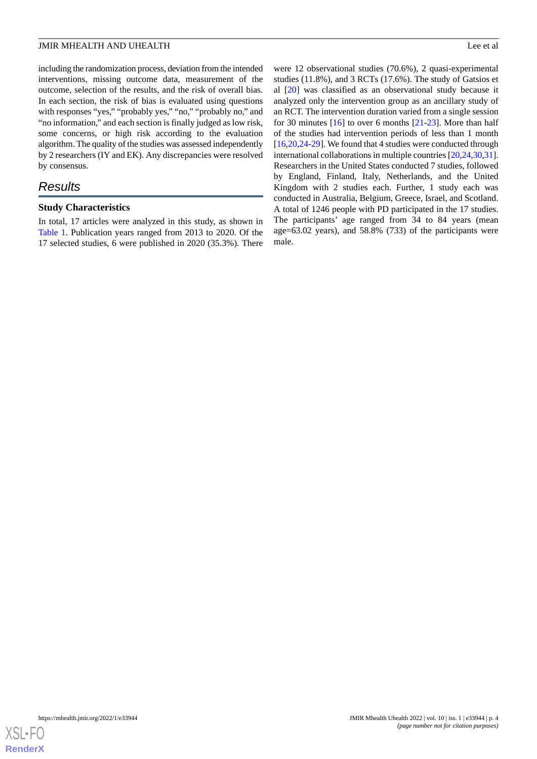including the randomization process, deviation from the intended interventions, missing outcome data, measurement of the outcome, selection of the results, and the risk of overall bias. In each section, the risk of bias is evaluated using questions with responses "yes," "probably yes," "no," "probably no," and "no information," and each section is finally judged as low risk, some concerns, or high risk according to the evaluation algorithm. The quality of the studies was assessed independently by 2 researchers (IY and EK). Any discrepancies were resolved by consensus.

# *Results*

#### **Study Characteristics**

In total, 17 articles were analyzed in this study, as shown in [Table 1.](#page-4-0) Publication years ranged from 2013 to 2020. Of the 17 selected studies, 6 were published in 2020 (35.3%). There

were 12 observational studies (70.6%), 2 quasi-experimental studies (11.8%), and 3 RCTs (17.6%). The study of Gatsios et al [[20\]](#page-16-0) was classified as an observational study because it analyzed only the intervention group as an ancillary study of an RCT. The intervention duration varied from a single session for 30 minutes [\[16](#page-15-15)] to over 6 months [\[21](#page-16-1)-[23\]](#page-16-2). More than half of the studies had intervention periods of less than 1 month [[16,](#page-15-15)[20,](#page-16-0)[24](#page-16-3)[-29](#page-16-4)]. We found that 4 studies were conducted through international collaborations in multiple countries [[20](#page-16-0)[,24](#page-16-3),[30,](#page-16-5)[31](#page-16-6)]. Researchers in the United States conducted 7 studies, followed by England, Finland, Italy, Netherlands, and the United Kingdom with 2 studies each. Further, 1 study each was conducted in Australia, Belgium, Greece, Israel, and Scotland. A total of 1246 people with PD participated in the 17 studies. The participants' age ranged from 34 to 84 years (mean age=63.02 years), and 58.8% (733) of the participants were male.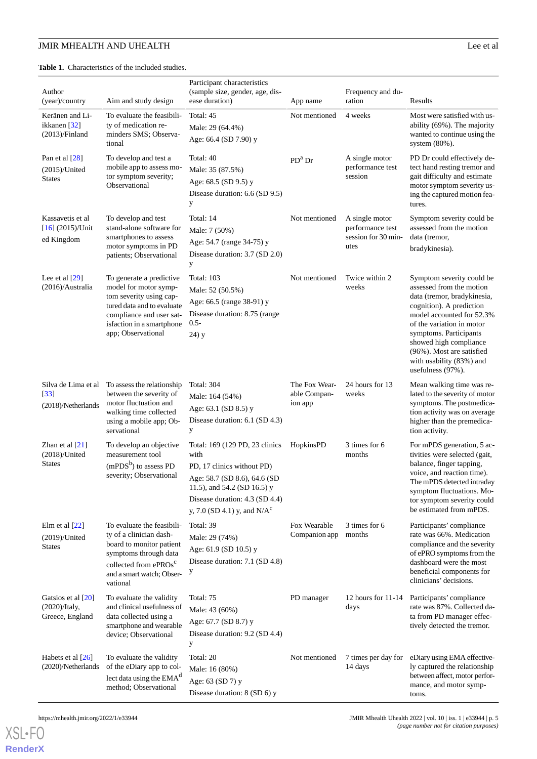<span id="page-4-0"></span>**Table 1.** Characteristics of the included studies.

| Author<br>(year)/country                                        | Aim and study design                                                                                                                                                                      | Participant characteristics<br>(sample size, gender, age, dis-<br>ease duration)                                                                                                                       | App name                                 | Frequency and du-<br>ration                                       | Results                                                                                                                                                                                                                                                                                                      |
|-----------------------------------------------------------------|-------------------------------------------------------------------------------------------------------------------------------------------------------------------------------------------|--------------------------------------------------------------------------------------------------------------------------------------------------------------------------------------------------------|------------------------------------------|-------------------------------------------------------------------|--------------------------------------------------------------------------------------------------------------------------------------------------------------------------------------------------------------------------------------------------------------------------------------------------------------|
| Keränen and Li-<br>ikkanen [32]<br>$(2013)/\text{Finland}$      | To evaluate the feasibili-<br>ty of medication re-<br>minders SMS; Observa-<br>tional                                                                                                     | Total: 45<br>Male: 29 (64.4%)<br>Age: 66.4 (SD 7.90) y                                                                                                                                                 | Not mentioned                            | 4 weeks                                                           | Most were satisfied with us-<br>ability (69%). The majority<br>wanted to continue using the<br>system $(80\%)$ .                                                                                                                                                                                             |
| Pan et al $[28]$<br>$(2015)/$ United<br><b>States</b>           | To develop and test a<br>mobile app to assess mo-<br>tor symptom severity;<br>Observational                                                                                               | Total: 40<br>Male: 35 (87.5%)<br>Age: 68.5 (SD 9.5) y<br>Disease duration: 6.6 (SD 9.5)<br>y                                                                                                           | $PDa$ Dr                                 | A single motor<br>performance test<br>session                     | PD Dr could effectively de-<br>tect hand resting tremor and<br>gait difficulty and estimate<br>motor symptom severity us-<br>ing the captured motion fea-<br>tures.                                                                                                                                          |
| Kassavetis et al<br>$[16]$ (2015)/Unit<br>ed Kingdom            | To develop and test<br>stand-alone software for<br>smartphones to assess<br>motor symptoms in PD<br>patients; Observational                                                               | Total: 14<br>Male: 7 (50%)<br>Age: 54.7 (range 34-75) y<br>Disease duration: 3.7 (SD 2.0)<br>y                                                                                                         | Not mentioned                            | A single motor<br>performance test<br>session for 30 min-<br>utes | Symptom severity could be<br>assessed from the motion<br>data (tremor,<br>bradykinesia).                                                                                                                                                                                                                     |
| Lee et al $[29]$<br>$(2016)/$ Australia                         | To generate a predictive<br>model for motor symp-<br>tom severity using cap-<br>tured data and to evaluate<br>compliance and user sat-<br>isfaction in a smartphone<br>app; Observational | <b>Total: 103</b><br>Male: 52 (50.5%)<br>Age: 66.5 (range 38-91) y<br>Disease duration: 8.75 (range<br>$0.5 -$<br>$24)$ y                                                                              | Not mentioned                            | Twice within 2<br>weeks                                           | Symptom severity could be<br>assessed from the motion<br>data (tremor, bradykinesia,<br>cognition). A prediction<br>model accounted for 52.3%<br>of the variation in motor<br>symptoms. Participants<br>showed high compliance<br>(96%). Most are satisfied<br>with usability (83%) and<br>usefulness (97%). |
| Silva de Lima et al<br>$[33]$<br>(2018)/Netherlands             | To assess the relationship<br>between the severity of<br>motor fluctuation and<br>walking time collected<br>using a mobile app; Ob-<br>servational                                        | <b>Total: 304</b><br>Male: 164 (54%)<br>Age: 63.1 (SD 8.5) y<br>Disease duration: 6.1 (SD 4.3)<br>у                                                                                                    | The Fox Wear-<br>able Compan-<br>ion app | 24 hours for 13<br>weeks                                          | Mean walking time was re-<br>lated to the severity of motor<br>symptoms. The postmedica-<br>tion activity was on average<br>higher than the premedica-<br>tion activity.                                                                                                                                     |
| Zhan et al $[21]$<br>$(2018)/$ United<br><b>States</b>          | To develop an objective<br>measurement tool<br>$(mPDSb)$ to assess PD<br>severity; Observational                                                                                          | Total: 169 (129 PD, 23 clinics<br>with<br>PD, 17 clinics without PD)<br>Age: 58.7 (SD 8.6), 64.6 (SD<br>11.5), and 54.2 (SD 16.5) y<br>Disease duration: 4.3 (SD 4.4)<br>y, 7.0 (SD 4.1) y, and $N/Ac$ | HopkinsPD                                | 3 times for 6<br>months                                           | For mPDS generation, 5 ac-<br>tivities were selected (gait,<br>balance, finger tapping,<br>voice, and reaction time).<br>The mPDS detected intraday<br>symptom fluctuations. Mo-<br>tor symptom severity could<br>be estimated from mPDS.                                                                    |
| Elm et al $[22]$<br>$(2019)/$ United<br><b>States</b>           | To evaluate the feasibili-<br>ty of a clinician dash-<br>board to monitor patient<br>symptoms through data<br>collected from ePROs <sup>c</sup><br>and a smart watch; Obser-<br>vational  | Total: 39<br>Male: 29 (74%)<br>Age: 61.9 (SD 10.5) y<br>Disease duration: 7.1 (SD 4.8)<br>у                                                                                                            | Fox Wearable<br>Companion app            | 3 times for 6<br>months                                           | Participants' compliance<br>rate was 66%. Medication<br>compliance and the severity<br>of ePRO symptoms from the<br>dashboard were the most<br>beneficial components for<br>clinicians' decisions.                                                                                                           |
| Gatsios et al [20]<br>$(2020)/\text{Italy},$<br>Greece, England | To evaluate the validity<br>and clinical usefulness of<br>data collected using a<br>smartphone and wearable<br>device; Observational                                                      | Total: 75<br>Male: 43 (60%)<br>Age: 67.7 (SD 8.7) y<br>Disease duration: 9.2 (SD 4.4)<br>y                                                                                                             | PD manager                               | 12 hours for $11-14$<br>days                                      | Participants' compliance<br>rate was 87%. Collected da-<br>ta from PD manager effec-<br>tively detected the tremor.                                                                                                                                                                                          |
| Habets et al [26]<br>(2020)/Netherlands                         | To evaluate the validity<br>of the eDiary app to col-<br>lect data using the EMA <sup>d</sup><br>method; Observational                                                                    | Total: 20<br>Male: 16 (80%)<br>Age: 63 (SD 7) y<br>Disease duration: 8 (SD 6) y                                                                                                                        | Not mentioned                            | 7 times per day for<br>14 days                                    | eDiary using EMA effective-<br>ly captured the relationship<br>between affect, motor perfor-<br>mance, and motor symp-<br>toms.                                                                                                                                                                              |

[XSL](http://www.w3.org/Style/XSL)•FO **[RenderX](http://www.renderx.com/)**

```
https://mhealth.jmir.org/2022/1/e33944 JMIR Mhealth Uhealth 2022 | vol. 10 | iss. 1 | e33944 | p. 5
                                                                             (page number not for citation purposes)
```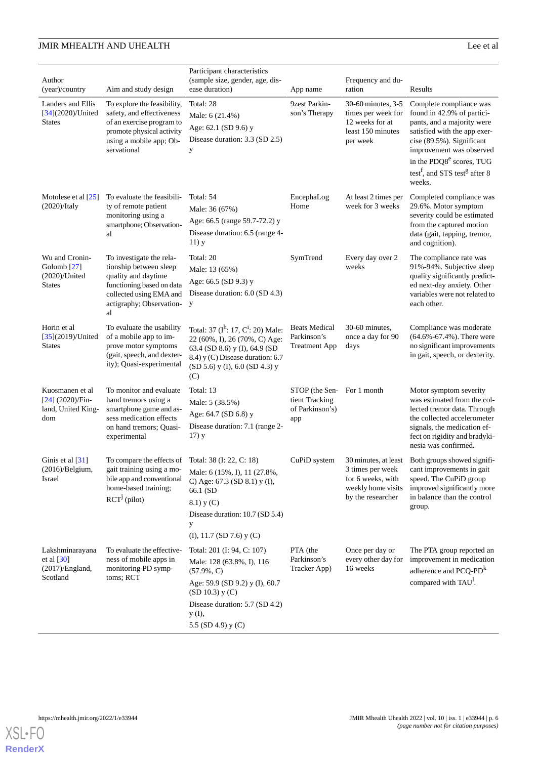| Author<br>(year)/country                                                      | Aim and study design                                                                                                                                                    | Participant characteristics<br>(sample size, gender, age, dis-<br>ease duration)                                                                                                                    | App name                                                    | Frequency and du-<br>ration                                                                  | Results                                                                                                                                                                                                                                                                                 |
|-------------------------------------------------------------------------------|-------------------------------------------------------------------------------------------------------------------------------------------------------------------------|-----------------------------------------------------------------------------------------------------------------------------------------------------------------------------------------------------|-------------------------------------------------------------|----------------------------------------------------------------------------------------------|-----------------------------------------------------------------------------------------------------------------------------------------------------------------------------------------------------------------------------------------------------------------------------------------|
| Landers and Ellis<br>$[34]$ (2020)/United<br><b>States</b>                    | To explore the feasibility,<br>safety, and effectiveness<br>of an exercise program to<br>promote physical activity<br>using a mobile app; Ob-<br>servational            | Total: 28<br>Male: 6 (21.4%)<br>Age: 62.1 (SD 9.6) y<br>Disease duration: 3.3 (SD 2.5)<br>y                                                                                                         | 9zest Parkin-<br>son's Therapy                              | 30-60 minutes, 3-5<br>times per week for<br>12 weeks for at<br>least 150 minutes<br>per week | Complete compliance was<br>found in 42.9% of partici-<br>pants, and a majority were<br>satisfied with the app exer-<br>cise (89.5%). Significant<br>improvement was observed<br>in the PDQ8 <sup>e</sup> scores, TUG<br>test <sup>f</sup> , and STS test <sup>g</sup> after 8<br>weeks. |
| Motolese et al $[25]$<br>$(2020)/$ Italy                                      | To evaluate the feasibili-<br>ty of remote patient<br>monitoring using a<br>smartphone; Observation-<br>al                                                              | Total: 54<br>Male: 36 (67%)<br>Age: 66.5 (range 59.7-72.2) y<br>Disease duration: 6.5 (range 4-<br>$11)$ y                                                                                          | EncephaLog<br>Home                                          | At least 2 times per<br>week for 3 weeks                                                     | Completed compliance was<br>29.6%. Motor symptom<br>severity could be estimated<br>from the captured motion<br>data (gait, tapping, tremor,<br>and cognition).                                                                                                                          |
| Wu and Cronin-<br>Golomb <sup>[27]</sup><br>$(2020)/$ United<br><b>States</b> | To investigate the rela-<br>tionship between sleep<br>quality and daytime<br>functioning based on data<br>collected using EMA and<br>actigraphy; Observation-<br>al     | Total: 20<br>Male: 13 (65%)<br>Age: 66.5 (SD 9.3) y<br>Disease duration: 6.0 (SD 4.3)<br>y                                                                                                          | SymTrend                                                    | Every day over 2<br>weeks                                                                    | The compliance rate was<br>91%-94%. Subjective sleep<br>quality significantly predict-<br>ed next-day anxiety. Other<br>variables were not related to<br>each other.                                                                                                                    |
| Horin et al<br>$[35](2019)/$ United<br><b>States</b>                          | To evaluate the usability<br>of a mobile app to im-<br>prove motor symptoms<br>(gait, speech, and dexter-<br>ity); Quasi-experimental                                   | Total: 37 ( $I^h$ : 17, $C^i$ : 20) Male:<br>22 (60%, I), 26 (70%, C) Age:<br>63.4 (SD 8.6) y (I), 64.9 (SD<br>8.4) y (C) Disease duration: 6.7<br>$(SD 5.6)$ y (I), 6.0 $(SD 4.3)$ y<br>(C)        | <b>Beats Medical</b><br>Parkinson's<br><b>Treatment App</b> | 30-60 minutes.<br>once a day for 90<br>days                                                  | Compliance was moderate<br>$(64.6\% - 67.4\%)$ . There were<br>no significant improvements<br>in gait, speech, or dexterity.                                                                                                                                                            |
| Kuosmanen et al<br>$[24]$ (2020)/Fin-<br>land, United King-<br>dom            | To monitor and evaluate<br>hand tremors using a<br>smartphone game and as-<br>sess medication effects<br>on hand tremors; Quasi-<br>experimental                        | Total: 13<br>Male: 5 (38.5%)<br>Age: 64.7 (SD 6.8) y<br>Disease duration: 7.1 (range 2-<br>$17)$ y                                                                                                  | STOP (the Sen-<br>tient Tracking<br>of Parkinson's)<br>app  | For 1 month                                                                                  | Motor symptom severity<br>was estimated from the col-<br>lected tremor data. Through<br>the collected accelerometer<br>signals, the medication ef-<br>fect on rigidity and bradyki-<br>nesia was confirmed.                                                                             |
| Ginis et al $[31]$<br>$(2016)/$ Belgium,<br>Israel                            | To compare the effects of Total: 38 (I: 22, C: 18)<br>gait training using a mo-<br>bile app and conventional<br>home-based training;<br>$\text{RCT}^{\text{j}}$ (pilot) | Male: 6 (15%, I), 11 (27.8%,<br>C) Age: 67.3 (SD 8.1) y (I),<br>66.1 (SD<br>8.1) y (C)<br>Disease duration: 10.7 (SD 5.4)<br>y<br>$(I), 11.7$ (SD 7.6) $y(C)$                                       | CuPiD system                                                | 3 times per week<br>for 6 weeks, with<br>weekly home visits<br>by the researcher             | 30 minutes, at least Both groups showed signifi-<br>cant improvements in gait<br>speed. The CuPiD group<br>improved significantly more<br>in balance than the control<br>group.                                                                                                         |
| Lakshminarayana<br>et al $[30]$<br>(2017)/England,<br>Scotland                | To evaluate the effective-<br>ness of mobile apps in<br>monitoring PD symp-<br>toms; RCT                                                                                | Total: 201 (I: 94, C: 107)<br>Male: 128 (63.8%, I), 116<br>$(57.9\%, C)$<br>Age: 59.9 (SD 9.2) y (I), 60.7<br>$(SD 10.3)$ y $(C)$<br>Disease duration: 5.7 (SD 4.2)<br>y (I),<br>5.5 (SD 4.9) y (C) | PTA (the<br>Parkinson's<br>Tracker App)                     | Once per day or<br>every other day for<br>16 weeks                                           | The PTA group reported an<br>improvement in medication<br>adherence and PCQ-PD <sup>k</sup><br>compared with TAU <sup>1</sup> .                                                                                                                                                         |

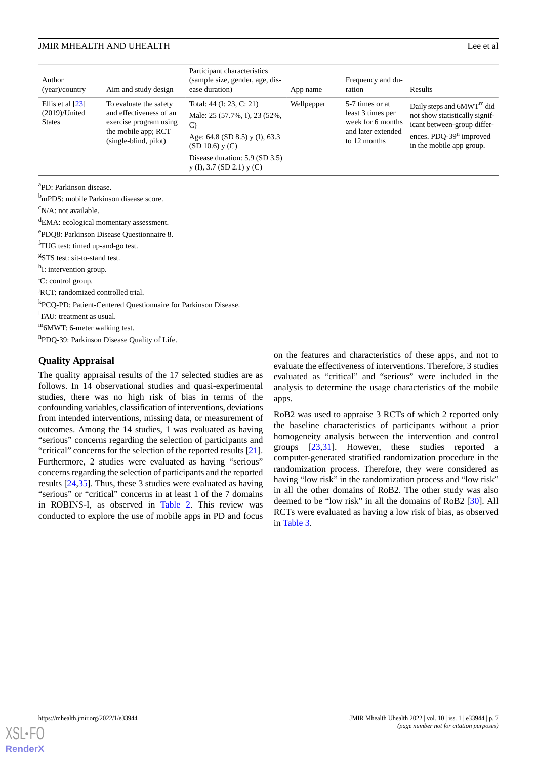| Author<br>(year)/ country                               | Aim and study design                                                                                                        | Participant characteristics<br>(sample size, gender, age, dis-<br>ease duration)                                                | App name | Frequency and du-<br>ration                                                                     | Results                                                                                                                                               |  |
|---------------------------------------------------------|-----------------------------------------------------------------------------------------------------------------------------|---------------------------------------------------------------------------------------------------------------------------------|----------|-------------------------------------------------------------------------------------------------|-------------------------------------------------------------------------------------------------------------------------------------------------------|--|
| Ellis et al $[23]$<br>$(2019)$ /United<br><b>States</b> | To evaluate the safety<br>and effectiveness of an<br>exercise program using<br>the mobile app; RCT<br>(single-blind, pilot) | Total: 44 (I: 23, C: 21)<br>Male: 25 (57.7%, I), 23 (52%,<br>$\mathcal{C}$<br>Age: 64.8 (SD 8.5) y (I), 63.3<br>(SD 10.6) y (C) |          | 5-7 times or at<br>least 3 times per<br>week for 6 months<br>and later extended<br>to 12 months | Daily steps and $6MWTm$ did<br>not show statistically signif-<br>icant between-group differ-<br>ences. $PDQ-39n$ improved<br>in the mobile app group. |  |
|                                                         |                                                                                                                             | Disease duration: 5.9 (SD 3.5)<br>$y$ (I), 3.7 (SD 2.1) $y$ (C)                                                                 |          |                                                                                                 |                                                                                                                                                       |  |

<sup>a</sup>PD: Parkinson disease.

<sup>b</sup>mPDS: mobile Parkinson disease score.

 $\rm^c$ N/A: not available.

<sup>d</sup>EMA: ecological momentary assessment.

e PDQ8: Parkinson Disease Questionnaire 8.

<sup>f</sup>TUG test: timed up-and-go test.

<sup>g</sup>STS test: sit-to-stand test.

<sup>h</sup>I: intervention group.

 ${}^{i}C$ : control group.

<sup>j</sup>RCT: randomized controlled trial.

k PCQ-PD: Patient-Centered Questionnaire for Parkinson Disease.

<sup>1</sup>TAU: treatment as usual.

<sup>m</sup>6MWT: 6-meter walking test.

<sup>n</sup>PDQ-39: Parkinson Disease Quality of Life.

#### **Quality Appraisal**

The quality appraisal results of the 17 selected studies are as follows. In 14 observational studies and quasi-experimental studies, there was no high risk of bias in terms of the confounding variables, classification of interventions, deviations from intended interventions, missing data, or measurement of outcomes. Among the 14 studies, 1 was evaluated as having "serious" concerns regarding the selection of participants and "critical" concerns for the selection of the reported results [[21\]](#page-16-1). Furthermore, 2 studies were evaluated as having "serious" concerns regarding the selection of participants and the reported results [\[24](#page-16-3)[,35](#page-16-15)]. Thus, these 3 studies were evaluated as having "serious" or "critical" concerns in at least 1 of the 7 domains in ROBINS-I, as observed in [Table 2](#page-7-0). This review was conducted to explore the use of mobile apps in PD and focus on the features and characteristics of these apps, and not to evaluate the effectiveness of interventions. Therefore, 3 studies evaluated as "critical" and "serious" were included in the analysis to determine the usage characteristics of the mobile apps.

RoB2 was used to appraise 3 RCTs of which 2 reported only the baseline characteristics of participants without a prior homogeneity analysis between the intervention and control groups [\[23](#page-16-2),[31\]](#page-16-6). However, these studies reported a computer-generated stratified randomization procedure in the randomization process. Therefore, they were considered as having "low risk" in the randomization process and "low risk" in all the other domains of RoB2. The other study was also deemed to be "low risk" in all the domains of RoB2 [\[30](#page-16-5)]. All RCTs were evaluated as having a low risk of bias, as observed in [Table 3](#page-7-1).

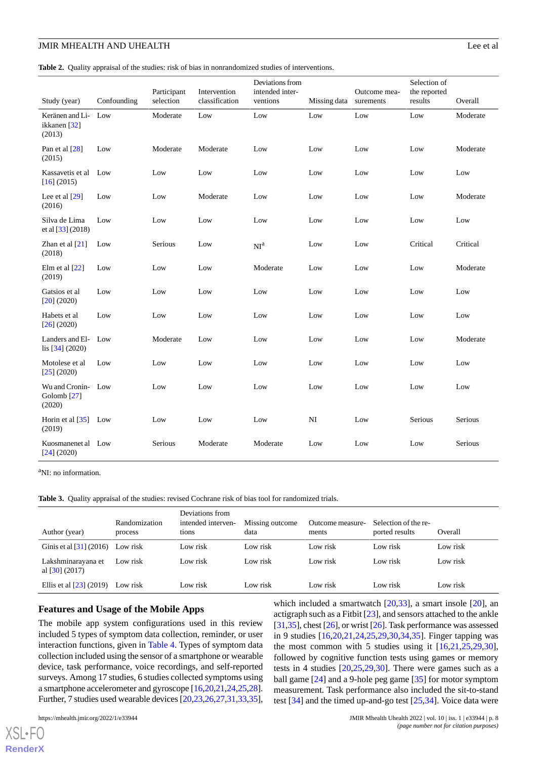<span id="page-7-0"></span>**Table 2.** Quality appraisal of the studies: risk of bias in nonrandomized studies of interventions.

| Study (year)                                  | Confounding | Participant<br>selection | Intervention<br>classification | Deviations from<br>intended inter-<br>ventions | Missing data | Outcome mea-<br>surements | Selection of<br>the reported<br>results | Overall  |
|-----------------------------------------------|-------------|--------------------------|--------------------------------|------------------------------------------------|--------------|---------------------------|-----------------------------------------|----------|
| Keränen and Li- Low<br>ikkanen [32]<br>(2013) |             | Moderate                 | Low                            | Low                                            | Low          | Low                       | Low                                     | Moderate |
| Pan et al [28]<br>(2015)                      | Low         | Moderate                 | Moderate                       | Low                                            | Low          | Low                       | Low                                     | Moderate |
| Kassavetis et al Low<br>[16] (2015)           |             | Low                      | Low                            | Low                                            | Low          | Low                       | Low                                     | Low      |
| Lee et al $[29]$<br>(2016)                    | Low         | Low                      | Moderate                       | Low                                            | Low          | Low                       | Low                                     | Moderate |
| Silva de Lima<br>et al $[33] (2018)$          | Low         | Low                      | Low                            | Low                                            | Low          |                           | Low                                     | Low      |
| Zhan et al $[21]$<br>(2018)                   | Low         | Serious                  | Low                            | NI <sup>a</sup>                                | Low          |                           | Critical                                | Critical |
| Elm et al $[22]$<br>(2019)                    | Low         | Low                      | Low                            | Moderate                                       | Low          | Low                       | Low                                     | Moderate |
| Gatsios et al<br>$[20]$ (2020)                | Low         | Low                      | Low                            | Low                                            | Low          | Low                       | Low                                     | Low      |
| Habets et al<br>[26] (2020)                   | Low         | Low                      | Low                            | Low                                            | Low          | Low                       | Low                                     | Low      |
| Landers and El-<br>lis $[34]$ (2020)          | Low         | Moderate                 | Low                            | Low                                            | Low          |                           | Low                                     | Moderate |
| Motolese et al<br>[25] (2020)                 | Low         | Low                      | Low                            | Low                                            | Low          | Low                       | Low                                     | Low      |
| Wu and Cronin- Low<br>Golomb $[27]$<br>(2020) |             | Low                      | Low                            | Low                                            | Low          | Low                       | Low                                     | Low      |
| Horin et al $\left[35\right]$ Low<br>(2019)   |             | Low                      | Low                            | Low                                            | NI           | Low                       | Serious                                 | Serious  |
| Kuosmanenet al Low<br>[24] (2020)             |             | Serious                  | Moderate                       | Moderate                                       | Low          | Low                       | Low                                     | Serious  |

<span id="page-7-1"></span><sup>a</sup>NI: no information.

**Table 3.** Quality appraisal of the studies: revised Cochrane risk of bias tool for randomized trials.

| Author (year)                          | Randomization<br>process | Deviations from<br>intended interven-<br>tions | Missing outcome<br>data | Outcome measure-<br>ments | Selection of the re-<br>ported results | Overall  |
|----------------------------------------|--------------------------|------------------------------------------------|-------------------------|---------------------------|----------------------------------------|----------|
| Ginis et al $[31]$ (2016)              | Low risk                 | Low risk                                       | Low risk                | Low risk                  | Low risk                               | Low risk |
| Lakshminarayana et<br>al $[30]$ (2017) | Low risk                 | Low risk                                       | Low risk                | Low risk                  | Low risk                               | Low risk |
| Ellis et al $[23]$ (2019)              | Low risk                 | Low risk                                       | Low risk                | Low risk                  | Low risk                               | Low risk |

#### **Features and Usage of the Mobile Apps**

The mobile app system configurations used in this review included 5 types of symptom data collection, reminder, or user interaction functions, given in [Table 4.](#page-9-0) Types of symptom data collection included using the sensor of a smartphone or wearable device, task performance, voice recordings, and self-reported surveys. Among 17 studies, 6 studies collected symptoms using a smartphone accelerometer and gyroscope [[16,](#page-15-15)[20](#page-16-0)[,21](#page-16-1),[24](#page-16-3),[25,](#page-16-13)[28\]](#page-16-8). Further, 7 studies used wearable devices [[20](#page-16-0),[23,](#page-16-2)[26](#page-16-11)[,27](#page-16-14),[31](#page-16-6),[33,](#page-16-9)[35\]](#page-16-15),

[XSL](http://www.w3.org/Style/XSL)•FO **[RenderX](http://www.renderx.com/)**

which included a smartwatch [\[20](#page-16-0),[33\]](#page-16-9), a smart insole [20], an actigraph such as a Fitbit [[23\]](#page-16-2), and sensors attached to the ankle [[31,](#page-16-6)[35\]](#page-16-15), chest [[26](#page-16-11)], or wrist [[26\]](#page-16-11). Task performance was assessed in 9 studies [\[16](#page-15-15),[20](#page-16-0)[,21](#page-16-1),[24](#page-16-3)[,25](#page-16-13),[29](#page-16-4)[,30](#page-16-5),[34](#page-16-12)[,35](#page-16-15)]. Finger tapping was the most common with 5 studies using it  $[16,21,25,29,30]$  $[16,21,25,29,30]$  $[16,21,25,29,30]$  $[16,21,25,29,30]$  $[16,21,25,29,30]$  $[16,21,25,29,30]$  $[16,21,25,29,30]$  $[16,21,25,29,30]$ , followed by cognitive function tests using games or memory tests in 4 studies [\[20](#page-16-0),[25,](#page-16-13)[29](#page-16-4),[30\]](#page-16-5). There were games such as a ball game [\[24](#page-16-3)] and a 9-hole peg game [[35\]](#page-16-15) for motor symptom measurement. Task performance also included the sit-to-stand test [\[34](#page-16-12)] and the timed up-and-go test [[25,](#page-16-13)[34](#page-16-12)]. Voice data were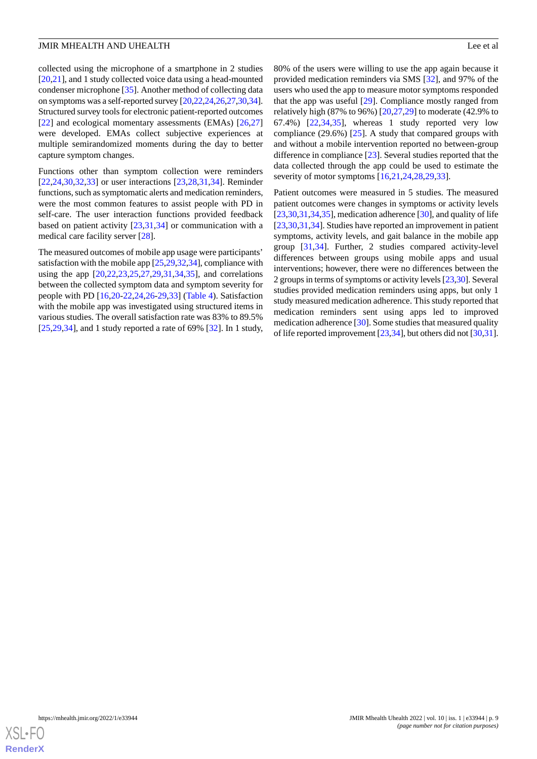collected using the microphone of a smartphone in 2 studies [[20](#page-16-0)[,21](#page-16-1)], and 1 study collected voice data using a head-mounted condenser microphone [\[35](#page-16-15)]. Another method of collecting data on symptoms was a self-reported survey [[20](#page-16-0)[,22,](#page-16-10)[24](#page-16-3)[,26](#page-16-11),[27](#page-16-14),[30,](#page-16-5)[34\]](#page-16-12). Structured survey tools for electronic patient-reported outcomes [[22\]](#page-16-10) and ecological momentary assessments (EMAs) [[26](#page-16-11)[,27](#page-16-14)] were developed. EMAs collect subjective experiences at multiple semirandomized moments during the day to better capture symptom changes.

Functions other than symptom collection were reminders [[22](#page-16-10)[,24](#page-16-3),[30](#page-16-5)[,32](#page-16-7),[33\]](#page-16-9) or user interactions [[23](#page-16-2)[,28](#page-16-8),[31](#page-16-6)[,34](#page-16-12)]. Reminder functions, such as symptomatic alerts and medication reminders, were the most common features to assist people with PD in self-care. The user interaction functions provided feedback based on patient activity [\[23](#page-16-2),[31,](#page-16-6)[34](#page-16-12)] or communication with a medical care facility server [[28\]](#page-16-8).

The measured outcomes of mobile app usage were participants' satisfaction with the mobile app [[25,](#page-16-13)[29](#page-16-4),[32](#page-16-7),[34\]](#page-16-12), compliance with using the app [\[20](#page-16-0),[22,](#page-16-10)[23](#page-16-2),[25,](#page-16-13)[27](#page-16-14),[29,](#page-16-4)[31](#page-16-6),[34,](#page-16-12)[35](#page-16-15)], and correlations between the collected symptom data and symptom severity for people with PD [[16,](#page-15-15)[20](#page-16-0)-[22,](#page-16-10)[24](#page-16-3),[26-](#page-16-11)[29](#page-16-4)[,33](#page-16-9)] ([Table 4](#page-9-0)). Satisfaction with the mobile app was investigated using structured items in various studies. The overall satisfaction rate was 83% to 89.5%  $[25,29,34]$  $[25,29,34]$  $[25,29,34]$  $[25,29,34]$  $[25,29,34]$ , and 1 study reported a rate of 69%  $[32]$  $[32]$ . In 1 study,

80% of the users were willing to use the app again because it provided medication reminders via SMS [[32\]](#page-16-7), and 97% of the users who used the app to measure motor symptoms responded that the app was useful [\[29](#page-16-4)]. Compliance mostly ranged from relatively high (87% to 96%)  $[20,27,29]$  $[20,27,29]$  $[20,27,29]$  $[20,27,29]$  $[20,27,29]$  to moderate (42.9% to 67.4%) [\[22](#page-16-10),[34](#page-16-12)[,35](#page-16-15)], whereas 1 study reported very low compliance  $(29.6\%)$  [\[25](#page-16-13)]. A study that compared groups with and without a mobile intervention reported no between-group difference in compliance [[23\]](#page-16-2). Several studies reported that the data collected through the app could be used to estimate the severity of motor symptoms [[16,](#page-15-15)[21](#page-16-1),[24,](#page-16-3)[28](#page-16-8),[29,](#page-16-4)[33](#page-16-9)].

Patient outcomes were measured in 5 studies. The measured patient outcomes were changes in symptoms or activity levels  $[23,30,31,34,35]$  $[23,30,31,34,35]$  $[23,30,31,34,35]$  $[23,30,31,34,35]$  $[23,30,31,34,35]$  $[23,30,31,34,35]$  $[23,30,31,34,35]$  $[23,30,31,34,35]$ , medication adherence  $[30]$  $[30]$ , and quality of life [[23,](#page-16-2)[30,](#page-16-5)[31](#page-16-6)[,34](#page-16-12)]. Studies have reported an improvement in patient symptoms, activity levels, and gait balance in the mobile app group [[31,](#page-16-6)[34](#page-16-12)]. Further, 2 studies compared activity-level differences between groups using mobile apps and usual interventions; however, there were no differences between the 2 groups in terms of symptoms or activity levels [\[23](#page-16-2)[,30](#page-16-5)]. Several studies provided medication reminders using apps, but only 1 study measured medication adherence. This study reported that medication reminders sent using apps led to improved medication adherence [[30\]](#page-16-5). Some studies that measured quality of life reported improvement [[23,](#page-16-2)[34\]](#page-16-12), but others did not [[30,](#page-16-5)[31](#page-16-6)].

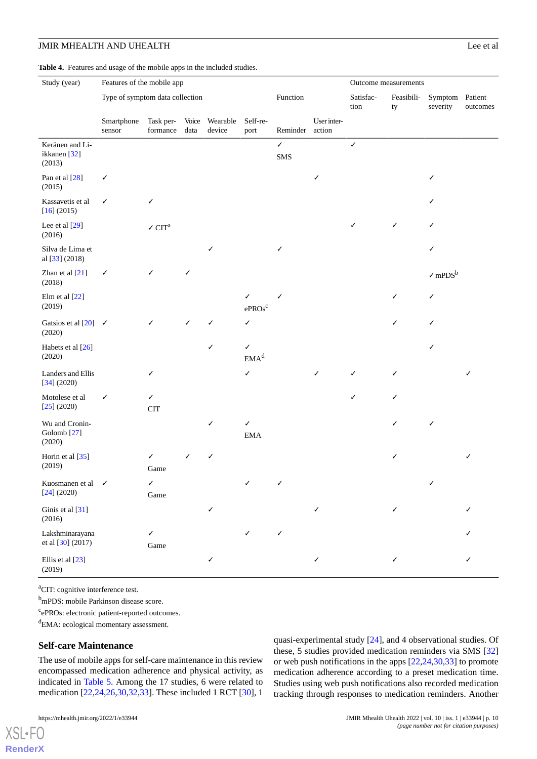<span id="page-9-0"></span>**Table 4.** Features and usage of the mobile apps in the included studies.

| Study (year)                                          | Features of the mobile app      |                                                   |               | Outcome measurements |                         |                     |                       |                   |                  |                             |          |
|-------------------------------------------------------|---------------------------------|---------------------------------------------------|---------------|----------------------|-------------------------|---------------------|-----------------------|-------------------|------------------|-----------------------------|----------|
|                                                       | Type of symptom data collection |                                                   |               |                      |                         | Function            |                       | Satisfac-<br>tion | Feasibili-<br>ty | Symptom Patient<br>severity | outcomes |
|                                                       | Smartphone<br>sensor            | Task per-<br>formance                             | Voice<br>data | Wearable<br>device   | Self-re-<br>port        | Reminder            | User inter-<br>action |                   |                  |                             |          |
| Keränen and Li-<br>ikkanen [32]<br>(2013)             |                                 |                                                   |               |                      |                         | $\checkmark$<br>SMS |                       | $\checkmark$      |                  |                             |          |
| Pan et al [28]<br>(2015)                              | ✓                               |                                                   |               |                      |                         |                     | ✓                     |                   |                  | ✓                           |          |
| Kassavetis et al<br>[16] (2015)                       | ✓                               | ✓                                                 |               |                      |                         |                     |                       |                   |                  |                             |          |
| Lee et al [29]<br>(2016)                              |                                 | $\boldsymbol{\checkmark}$ $\text{CIT}^{\text{a}}$ |               |                      |                         |                     |                       | ✓                 | ✓                | ✓                           |          |
| Silva de Lima et<br>al [33] (2018)                    |                                 |                                                   |               | ✓                    |                         | ✓                   |                       |                   |                  | ✓                           |          |
| Zhan et al [21]<br>(2018)                             | ✓                               | ✓                                                 | ✓             |                      |                         |                     |                       |                   |                  | $\sqrt{mPDS}^{b}$           |          |
| Elm et al [22]<br>(2019)                              |                                 |                                                   |               |                      | ✓<br>ePROs <sup>c</sup> | ✓                   |                       |                   | ✓                | ✓                           |          |
| Gatsios et al $[20]$ $\checkmark$<br>(2020)           |                                 | ✓                                                 | ✓             | ✓                    | ✓                       |                     |                       |                   | ✓                | ✓                           |          |
| Habets et al [26]<br>(2020)                           |                                 |                                                   |               | ✓                    | ✓<br>EMA <sup>d</sup>   |                     |                       |                   |                  | ✓                           |          |
| Landers and Ellis<br>[34] (2020)                      |                                 | ✓                                                 |               |                      | ✓                       |                     | ✓                     | ✓                 | ✓                |                             | ✓        |
| Motolese et al<br>[25] (2020)                         | ✓                               | ✓<br><b>CIT</b>                                   |               |                      |                         |                     |                       | ✓                 | ✓                |                             |          |
| Wu and Cronin-<br>Golomb <sup>[27]</sup><br>(2020)    |                                 |                                                   |               | ✓                    | ✓<br><b>EMA</b>         |                     |                       |                   | ✓                | ✓                           |          |
| Horin et al [35]<br>(2019)                            |                                 | ✓<br>Game                                         |               | ✓                    |                         |                     |                       |                   | ✓                |                             | ✓        |
| Kuosmanen et al $\blacktriangledown$<br>$[24]$ (2020) |                                 | ✓<br>Game                                         |               |                      | $\checkmark$            | ✓                   |                       |                   |                  | $\checkmark$                |          |
| Ginis et al [31]<br>(2016)                            |                                 |                                                   |               | ✓                    |                         |                     | ✓                     |                   | ✓                |                             | J        |
| Lakshminarayana<br>et al [30] (2017)                  |                                 | ✓<br>Game                                         |               |                      | ✓                       | ✓                   |                       |                   |                  |                             |          |
| Ellis et al [23]<br>(2019)                            |                                 |                                                   |               | $\checkmark$         |                         |                     | $\checkmark$          |                   | ✓                |                             | ✓        |

<sup>a</sup>CIT: cognitive interference test.

<sup>b</sup>mPDS: mobile Parkinson disease score.

<sup>c</sup>ePROs: electronic patient-reported outcomes.

<sup>d</sup>EMA: ecological momentary assessment.

#### **Self-care Maintenance**

The use of mobile apps for self-care maintenance in this review encompassed medication adherence and physical activity, as indicated in [Table 5](#page-11-0). Among the 17 studies, 6 were related to medication [[22,](#page-16-10)[24](#page-16-3),[26,](#page-16-11)[30](#page-16-5),[32,](#page-16-7)[33](#page-16-9)]. These included 1 RCT [\[30](#page-16-5)], 1

[XSL](http://www.w3.org/Style/XSL)•FO **[RenderX](http://www.renderx.com/)** quasi-experimental study [\[24](#page-16-3)], and 4 observational studies. Of these, 5 studies provided medication reminders via SMS [\[32](#page-16-7)] or web push notifications in the apps [[22](#page-16-10)[,24](#page-16-3),[30,](#page-16-5)[33\]](#page-16-9) to promote medication adherence according to a preset medication time. Studies using web push notifications also recorded medication tracking through responses to medication reminders. Another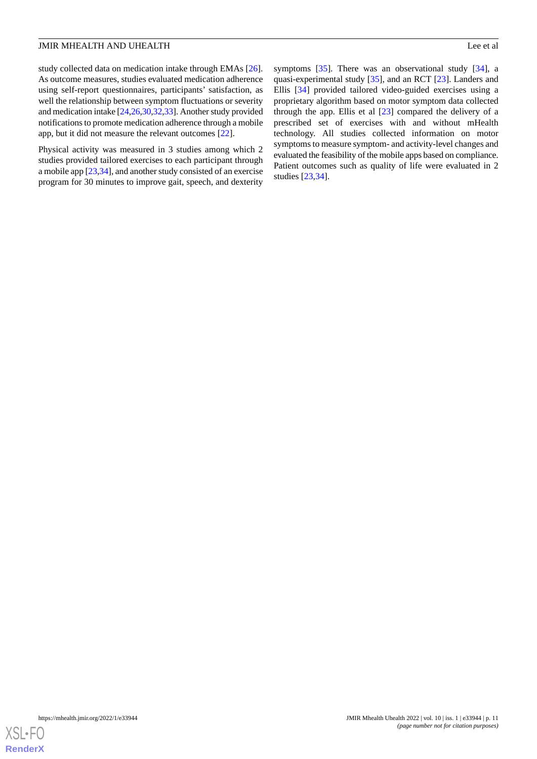study collected data on medication intake through EMAs [[26\]](#page-16-11). As outcome measures, studies evaluated medication adherence using self-report questionnaires, participants' satisfaction, as well the relationship between symptom fluctuations or severity and medication intake [\[24](#page-16-3)[,26](#page-16-11),[30,](#page-16-5)[32](#page-16-7)[,33](#page-16-9)]. Another study provided notifications to promote medication adherence through a mobile app, but it did not measure the relevant outcomes [[22\]](#page-16-10).

Physical activity was measured in 3 studies among which 2 studies provided tailored exercises to each participant through a mobile app [[23](#page-16-2)[,34](#page-16-12)], and another study consisted of an exercise program for 30 minutes to improve gait, speech, and dexterity

symptoms [\[35](#page-16-15)]. There was an observational study [\[34](#page-16-12)], a quasi-experimental study [[35\]](#page-16-15), and an RCT [[23\]](#page-16-2). Landers and Ellis [\[34](#page-16-12)] provided tailored video-guided exercises using a proprietary algorithm based on motor symptom data collected through the app. Ellis et al [\[23](#page-16-2)] compared the delivery of a prescribed set of exercises with and without mHealth technology. All studies collected information on motor symptoms to measure symptom- and activity-level changes and evaluated the feasibility of the mobile apps based on compliance. Patient outcomes such as quality of life were evaluated in 2 studies [\[23](#page-16-2),[34\]](#page-16-12).

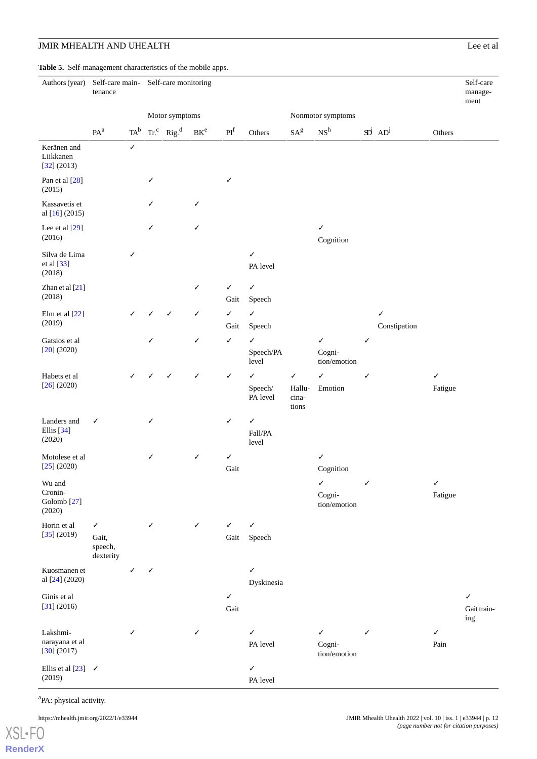<span id="page-11-0"></span>**Table 5.** Self-management characteristics of the mobile apps.

| Authors (year)                                        | tenance                            |              | Self-care main-<br>Self-care monitoring |                                           |              |                      |                                     |                                          |                                        |              |                                       | Self-care<br>manage-<br>ment |                         |
|-------------------------------------------------------|------------------------------------|--------------|-----------------------------------------|-------------------------------------------|--------------|----------------------|-------------------------------------|------------------------------------------|----------------------------------------|--------------|---------------------------------------|------------------------------|-------------------------|
|                                                       |                                    |              | Motor symptoms                          |                                           |              | Nonmotor symptoms    |                                     |                                          |                                        |              |                                       |                              |                         |
|                                                       | PA <sup>a</sup>                    | $TA^b$       |                                         | $\text{Tr.}^{\text{c}}$ Rig. <sup>d</sup> | $BK^e$       | PI <sup>f</sup>      | Others                              | $\mathrm{SA}^\mathrm{g}$                 | NS <sup>h</sup>                        |              | $\overrightarrow{AD}$ AD <sup>j</sup> | Others                       |                         |
| Keränen and<br>Liikkanen<br>[32] (2013)               |                                    | $\checkmark$ |                                         |                                           |              |                      |                                     |                                          |                                        |              |                                       |                              |                         |
| Pan et al [28]<br>(2015)                              |                                    |              | ✓                                       |                                           |              | ✓                    |                                     |                                          |                                        |              |                                       |                              |                         |
| Kassavetis et<br>al [16] (2015)                       |                                    |              | ✓                                       |                                           | $\checkmark$ |                      |                                     |                                          |                                        |              |                                       |                              |                         |
| Lee et al [29]<br>(2016)                              |                                    |              | ✓                                       |                                           | $\checkmark$ |                      |                                     |                                          | ✓<br>Cognition                         |              |                                       |                              |                         |
| Silva de Lima<br>et al [33]<br>(2018)                 |                                    | ✓            |                                         |                                           |              |                      | $\checkmark$<br>PA level            |                                          |                                        |              |                                       |                              |                         |
| Zhan et al [21]<br>(2018)                             |                                    |              |                                         |                                           | ✓            | ✓<br>Gait            | $\checkmark$<br>Speech              |                                          |                                        |              |                                       |                              |                         |
| Elm et al $[22]$<br>(2019)                            |                                    | ✓            | ✓                                       | ✓                                         | $\checkmark$ | ✓<br>Gait            | $\checkmark$<br>Speech              |                                          |                                        |              | $\checkmark$<br>Constipation          |                              |                         |
| Gatsios et al<br>$[20]$ (2020)                        |                                    |              | ✓                                       |                                           | $\checkmark$ | ✓                    | ✓<br>Speech/PA<br>level             |                                          | ✓<br>Cogni-<br>tion/emotion            | ✓            |                                       |                              |                         |
| Habets et al<br>$[26]$ (2020)                         |                                    |              |                                         |                                           | ✓            | ✓                    | $\checkmark$<br>Speech/<br>PA level | $\checkmark$<br>Hallu-<br>cina-<br>tions | $\checkmark$<br>Emotion                | ✓            |                                       | $\checkmark$<br>Fatigue      |                         |
| Landers and<br>Ellis <sup>[34]</sup><br>(2020)        | ✓                                  |              | ✓                                       |                                           |              | ✓                    | $\checkmark$<br>Fall/PA<br>level    |                                          |                                        |              |                                       |                              |                         |
| Motolese et al<br>[25] (2020)                         |                                    |              | ✓                                       |                                           | $\checkmark$ | ✓<br>Gait            |                                     |                                          | ✓<br>Cognition                         |              |                                       |                              |                         |
| Wu and<br>Cronin-<br>Golomb <sup>[27]</sup><br>(2020) |                                    |              |                                         |                                           |              |                      |                                     |                                          | $\checkmark$<br>Cogni-<br>tion/emotion | $\checkmark$ |                                       | $\checkmark$<br>Fatigue      |                         |
| Horin et al<br>[35] (2019)                            | ✓<br>Gait,<br>speech,<br>dexterity |              | $\checkmark$                            |                                           | $\checkmark$ | ✓<br>Gait            | ✓<br>Speech                         |                                          |                                        |              |                                       |                              |                         |
| Kuosmanen et<br>al [24] (2020)                        |                                    | ✓            | ✓                                       |                                           |              |                      | $\checkmark$<br>Dyskinesia          |                                          |                                        |              |                                       |                              |                         |
| Ginis et al<br>[31] (2016)                            |                                    |              |                                         |                                           |              | $\checkmark$<br>Gait |                                     |                                          |                                        |              |                                       |                              | ✓<br>Gait train-<br>ing |
| Lakshmi-<br>narayana et al<br>[30] (2017)             |                                    | ✓            |                                         |                                           | $\checkmark$ |                      | ✓<br>PA level                       |                                          | ✓<br>Cogni-<br>tion/emotion            | ✓            |                                       | $\checkmark$<br>Pain         |                         |
| Ellis et al $[23]$ $\checkmark$<br>(2019)             |                                    |              |                                         |                                           |              |                      | $\checkmark$<br>PA level            |                                          |                                        |              |                                       |                              |                         |

<sup>a</sup>PA: physical activity.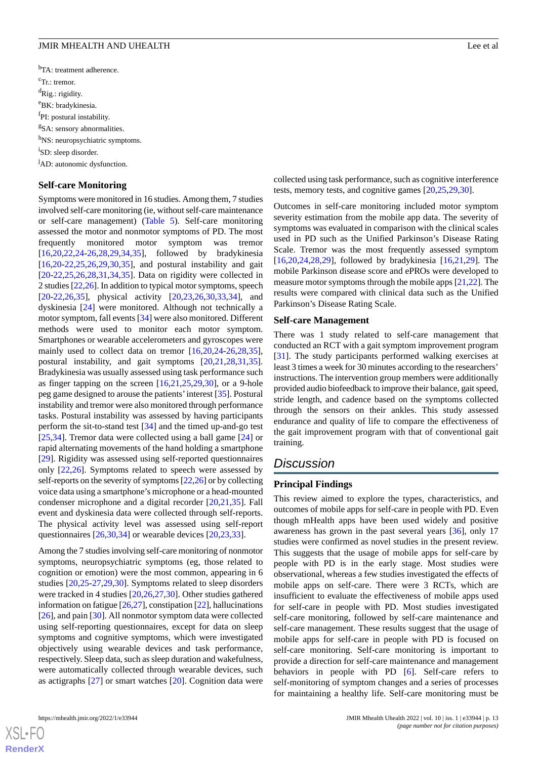<sup>b</sup>TA: treatment adherence. <sup>c</sup>Tr.: tremor.  ${}^{d}$ Rig.: rigidity. <sup>e</sup>BK: bradykinesia. <sup>f</sup>PI: postural instability. <sup>g</sup>SA: sensory abnormalities. h<sub>NS</sub>: neuropsychiatric symptoms. <sup>i</sup>SD: sleep disorder. <sup>j</sup>AD: autonomic dysfunction.

#### **Self-care Monitoring**

Symptoms were monitored in 16 studies. Among them, 7 studies involved self-care monitoring (ie, without self-care maintenance or self-care management) ([Table 5\)](#page-11-0). Self-care monitoring assessed the motor and nonmotor symptoms of PD. The most frequently monitored motor symptom was tremor [[16](#page-15-15)[,20](#page-16-0),[22](#page-16-10)[,24](#page-16-3)-[26,](#page-16-11)[28](#page-16-8),[29,](#page-16-4)[34](#page-16-12),[35\]](#page-16-15), followed by bradykinesia [[16](#page-15-15)[,20](#page-16-0)-[22,](#page-16-10)[25](#page-16-13),[26,](#page-16-11)[29](#page-16-4),[30,](#page-16-5)[35](#page-16-15)], and postural instability and gait [[20](#page-16-0)[-22](#page-16-10),[25,](#page-16-13)[26](#page-16-11),[28,](#page-16-8)[31](#page-16-6),[34,](#page-16-12)[35](#page-16-15)]. Data on rigidity were collected in 2 studies [[22](#page-16-10)[,26](#page-16-11)]. In addition to typical motor symptoms, speech [[20](#page-16-0)[-22](#page-16-10),[26,](#page-16-11)[35](#page-16-15)], physical activity [[20,](#page-16-0)[23](#page-16-2),26,[30](#page-16-5),[33,](#page-16-9)[34](#page-16-12)], and dyskinesia [\[24](#page-16-3)] were monitored. Although not technically a motor symptom, fall events [\[34](#page-16-12)] were also monitored. Different methods were used to monitor each motor symptom. Smartphones or wearable accelerometers and gyroscopes were mainly used to collect data on tremor [\[16](#page-15-15),[20,](#page-16-0)[24-](#page-16-3)[26](#page-16-11)[,28](#page-16-8),[35\]](#page-16-15), postural instability, and gait symptoms [[20](#page-16-0)[,21](#page-16-1),[28](#page-16-8)[,31](#page-16-6),[35\]](#page-16-15). Bradykinesia was usually assessed using task performance such as finger tapping on the screen  $[16,21,25,29,30]$  $[16,21,25,29,30]$  $[16,21,25,29,30]$  $[16,21,25,29,30]$  $[16,21,25,29,30]$  $[16,21,25,29,30]$  $[16,21,25,29,30]$  $[16,21,25,29,30]$ , or a 9-hole peg game designed to arouse the patients'interest [\[35](#page-16-15)]. Postural instability and tremor were also monitored through performance tasks. Postural instability was assessed by having participants perform the sit-to-stand test [\[34](#page-16-12)] and the timed up-and-go test [[25](#page-16-13)[,34](#page-16-12)]. Tremor data were collected using a ball game [\[24](#page-16-3)] or rapid alternating movements of the hand holding a smartphone [[29\]](#page-16-4). Rigidity was assessed using self-reported questionnaires only [[22,](#page-16-10)[26](#page-16-11)]. Symptoms related to speech were assessed by self-reports on the severity of symptoms [[22](#page-16-10),[26\]](#page-16-11) or by collecting voice data using a smartphone's microphone or a head-mounted condenser microphone and a digital recorder [\[20](#page-16-0)[,21](#page-16-1)[,35](#page-16-15)]. Fall event and dyskinesia data were collected through self-reports. The physical activity level was assessed using self-report questionnaires [\[26](#page-16-11),[30,](#page-16-5)[34](#page-16-12)] or wearable devices [[20](#page-16-0)[,23](#page-16-2),[33\]](#page-16-9).

Among the 7 studies involving self-care monitoring of nonmotor symptoms, neuropsychiatric symptoms (eg, those related to cognition or emotion) were the most common, appearing in 6 studies [\[20](#page-16-0),[25](#page-16-13)[-27](#page-16-14),[29,](#page-16-4)[30](#page-16-5)]. Symptoms related to sleep disorders were tracked in 4 studies [[20,](#page-16-0)[26](#page-16-11),[27,](#page-16-14)[30](#page-16-5)]. Other studies gathered information on fatigue [\[26](#page-16-11),[27\]](#page-16-14), constipation [[22\]](#page-16-10), hallucinations [[26\]](#page-16-11), and pain [[30\]](#page-16-5). All nonmotor symptom data were collected using self-reporting questionnaires, except for data on sleep symptoms and cognitive symptoms, which were investigated objectively using wearable devices and task performance, respectively. Sleep data, such as sleep duration and wakefulness, were automatically collected through wearable devices, such as actigraphs [[27\]](#page-16-14) or smart watches [\[20](#page-16-0)]. Cognition data were

[XSL](http://www.w3.org/Style/XSL)•FO **[RenderX](http://www.renderx.com/)** collected using task performance, such as cognitive interference tests, memory tests, and cognitive games [[20,](#page-16-0)[25](#page-16-13),[29,](#page-16-4)[30](#page-16-5)].

Outcomes in self-care monitoring included motor symptom severity estimation from the mobile app data. The severity of symptoms was evaluated in comparison with the clinical scales used in PD such as the Unified Parkinson's Disease Rating Scale. Tremor was the most frequently assessed symptom [[16,](#page-15-15)[20,](#page-16-0)[24](#page-16-3)[,28](#page-16-8),[29\]](#page-16-4), followed by bradykinesia [[16,](#page-15-15)[21](#page-16-1),[29\]](#page-16-4). The mobile Parkinson disease score and ePROs were developed to measure motor symptoms through the mobile apps [\[21](#page-16-1),[22\]](#page-16-10). The results were compared with clinical data such as the Unified Parkinson's Disease Rating Scale.

#### **Self-care Management**

There was 1 study related to self-care management that conducted an RCT with a gait symptom improvement program [[31\]](#page-16-6). The study participants performed walking exercises at least 3 times a week for 30 minutes according to the researchers' instructions. The intervention group members were additionally provided audio biofeedback to improve their balance, gait speed, stride length, and cadence based on the symptoms collected through the sensors on their ankles. This study assessed endurance and quality of life to compare the effectiveness of the gait improvement program with that of conventional gait training.

# *Discussion*

#### **Principal Findings**

This review aimed to explore the types, characteristics, and outcomes of mobile apps for self-care in people with PD. Even though mHealth apps have been used widely and positive awareness has grown in the past several years [[36\]](#page-16-16), only 17 studies were confirmed as novel studies in the present review. This suggests that the usage of mobile apps for self-care by people with PD is in the early stage. Most studies were observational, whereas a few studies investigated the effects of mobile apps on self-care. There were 3 RCTs, which are insufficient to evaluate the effectiveness of mobile apps used for self-care in people with PD. Most studies investigated self-care monitoring, followed by self-care maintenance and self-care management. These results suggest that the usage of mobile apps for self-care in people with PD is focused on self-care monitoring. Self-care monitoring is important to provide a direction for self-care maintenance and management behaviors in people with PD [\[6](#page-15-5)]. Self-care refers to self-monitoring of symptom changes and a series of processes for maintaining a healthy life. Self-care monitoring must be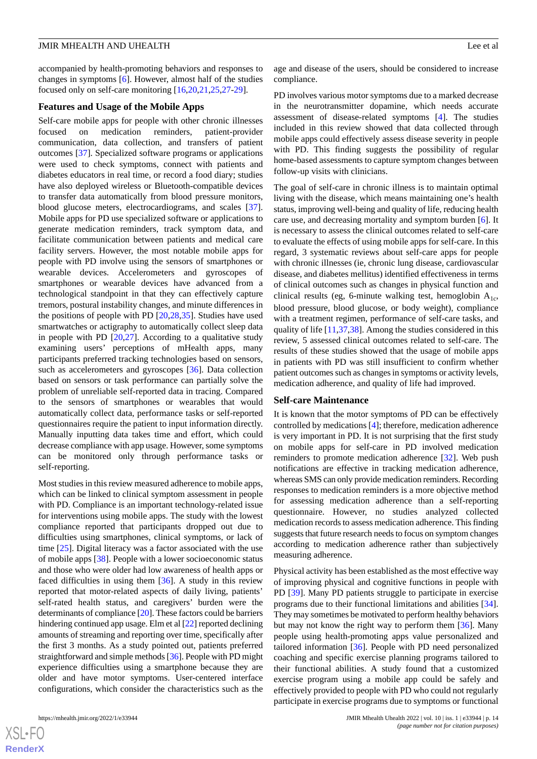accompanied by health-promoting behaviors and responses to changes in symptoms [\[6](#page-15-5)]. However, almost half of the studies focused only on self-care monitoring [\[16](#page-15-15),[20,](#page-16-0)[21](#page-16-1),[25,](#page-16-13)[27](#page-16-14)[-29](#page-16-4)].

#### **Features and Usage of the Mobile Apps**

Self-care mobile apps for people with other chronic illnesses focused on medication reminders, patient-provider communication, data collection, and transfers of patient outcomes [[37\]](#page-16-17). Specialized software programs or applications were used to check symptoms, connect with patients and diabetes educators in real time, or record a food diary; studies have also deployed wireless or Bluetooth-compatible devices to transfer data automatically from blood pressure monitors, blood glucose meters, electrocardiograms, and scales [[37\]](#page-16-17). Mobile apps for PD use specialized software or applications to generate medication reminders, track symptom data, and facilitate communication between patients and medical care facility servers. However, the most notable mobile apps for people with PD involve using the sensors of smartphones or wearable devices. Accelerometers and gyroscopes of smartphones or wearable devices have advanced from a technological standpoint in that they can effectively capture tremors, postural instability changes, and minute differences in the positions of people with PD  $[20,28,35]$  $[20,28,35]$  $[20,28,35]$  $[20,28,35]$  $[20,28,35]$ . Studies have used smartwatches or actigraphy to automatically collect sleep data in people with PD  $[20,27]$  $[20,27]$  $[20,27]$ . According to a qualitative study examining users' perceptions of mHealth apps, many participants preferred tracking technologies based on sensors, such as accelerometers and gyroscopes [\[36](#page-16-16)]. Data collection based on sensors or task performance can partially solve the problem of unreliable self-reported data in tracing. Compared to the sensors of smartphones or wearables that would automatically collect data, performance tasks or self-reported questionnaires require the patient to input information directly. Manually inputting data takes time and effort, which could decrease compliance with app usage. However, some symptoms can be monitored only through performance tasks or self-reporting.

Most studies in this review measured adherence to mobile apps, which can be linked to clinical symptom assessment in people with PD. Compliance is an important technology-related issue for interventions using mobile apps. The study with the lowest compliance reported that participants dropped out due to difficulties using smartphones, clinical symptoms, or lack of time [\[25](#page-16-13)]. Digital literacy was a factor associated with the use of mobile apps [\[38](#page-16-18)]. People with a lower socioeconomic status and those who were older had low awareness of health apps or faced difficulties in using them [[36\]](#page-16-16). A study in this review reported that motor-related aspects of daily living, patients' self-rated health status, and caregivers' burden were the determinants of compliance [[20](#page-16-0)]. These factors could be barriers hindering continued app usage. Elm et al [\[22](#page-16-10)] reported declining amounts of streaming and reporting over time, specifically after the first 3 months. As a study pointed out, patients preferred straightforward and simple methods [\[36](#page-16-16)]. People with PD might experience difficulties using a smartphone because they are older and have motor symptoms. User-centered interface configurations, which consider the characteristics such as the

age and disease of the users, should be considered to increase compliance.

PD involves various motor symptoms due to a marked decrease in the neurotransmitter dopamine, which needs accurate assessment of disease-related symptoms [[4\]](#page-15-3). The studies included in this review showed that data collected through mobile apps could effectively assess disease severity in people with PD. This finding suggests the possibility of regular home-based assessments to capture symptom changes between follow-up visits with clinicians.

The goal of self-care in chronic illness is to maintain optimal living with the disease, which means maintaining one's health status, improving well-being and quality of life, reducing health care use, and decreasing mortality and symptom burden [\[6](#page-15-5)]. It is necessary to assess the clinical outcomes related to self-care to evaluate the effects of using mobile apps for self-care. In this regard, 3 systematic reviews about self-care apps for people with chronic illnesses (ie, chronic lung disease, cardiovascular disease, and diabetes mellitus) identified effectiveness in terms of clinical outcomes such as changes in physical function and clinical results (eg, 6-minute walking test, hemoglobin  $A_{1c}$ , blood pressure, blood glucose, or body weight), compliance with a treatment regimen, performance of self-care tasks, and quality of life [\[11](#page-15-10),[37,](#page-16-17)[38](#page-16-18)]. Among the studies considered in this review, 5 assessed clinical outcomes related to self-care. The results of these studies showed that the usage of mobile apps in patients with PD was still insufficient to confirm whether patient outcomes such as changes in symptoms or activity levels, medication adherence, and quality of life had improved.

#### **Self-care Maintenance**

It is known that the motor symptoms of PD can be effectively controlled by medications [[4\]](#page-15-3); therefore, medication adherence is very important in PD. It is not surprising that the first study on mobile apps for self-care in PD involved medication reminders to promote medication adherence [\[32](#page-16-7)]. Web push notifications are effective in tracking medication adherence, whereas SMS can only provide medication reminders. Recording responses to medication reminders is a more objective method for assessing medication adherence than a self-reporting questionnaire. However, no studies analyzed collected medication records to assess medication adherence. This finding suggests that future research needs to focus on symptom changes according to medication adherence rather than subjectively measuring adherence.

Physical activity has been established as the most effective way of improving physical and cognitive functions in people with PD [[39\]](#page-16-19). Many PD patients struggle to participate in exercise programs due to their functional limitations and abilities [[34\]](#page-16-12). They may sometimes be motivated to perform healthy behaviors but may not know the right way to perform them [[36\]](#page-16-16). Many people using health-promoting apps value personalized and tailored information [[36\]](#page-16-16). People with PD need personalized coaching and specific exercise planning programs tailored to their functional abilities. A study found that a customized exercise program using a mobile app could be safely and effectively provided to people with PD who could not regularly participate in exercise programs due to symptoms or functional

 $XS$ -FO **[RenderX](http://www.renderx.com/)**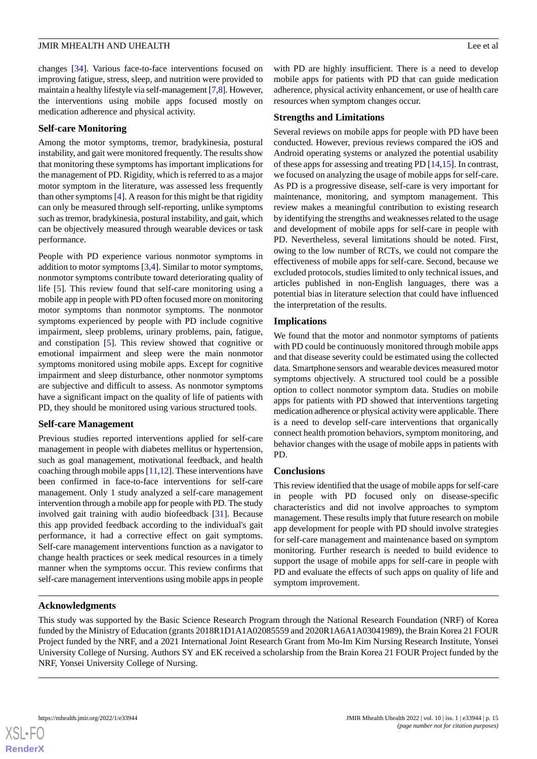changes [\[34](#page-16-12)]. Various face-to-face interventions focused on improving fatigue, stress, sleep, and nutrition were provided to maintain a healthy lifestyle via self-management [[7,](#page-15-6)[8\]](#page-15-7). However, the interventions using mobile apps focused mostly on medication adherence and physical activity.

#### **Self-care Monitoring**

Among the motor symptoms, tremor, bradykinesia, postural instability, and gait were monitored frequently. The results show that monitoring these symptoms has important implications for the management of PD. Rigidity, which is referred to as a major motor symptom in the literature, was assessed less frequently than other symptoms [[4\]](#page-15-3). A reason for this might be that rigidity can only be measured through self-reporting, unlike symptoms such as tremor, bradykinesia, postural instability, and gait, which can be objectively measured through wearable devices or task performance.

People with PD experience various nonmotor symptoms in addition to motor symptoms [[3,](#page-15-2)[4](#page-15-3)]. Similar to motor symptoms, nonmotor symptoms contribute toward deteriorating quality of life [[5\]](#page-15-4). This review found that self-care monitoring using a mobile app in people with PD often focused more on monitoring motor symptoms than nonmotor symptoms. The nonmotor symptoms experienced by people with PD include cognitive impairment, sleep problems, urinary problems, pain, fatigue, and constipation [\[5](#page-15-4)]. This review showed that cognitive or emotional impairment and sleep were the main nonmotor symptoms monitored using mobile apps. Except for cognitive impairment and sleep disturbance, other nonmotor symptoms are subjective and difficult to assess. As nonmotor symptoms have a significant impact on the quality of life of patients with PD, they should be monitored using various structured tools.

## **Self-care Management**

Previous studies reported interventions applied for self-care management in people with diabetes mellitus or hypertension, such as goal management, motivational feedback, and health coaching through mobile apps  $[11,12]$  $[11,12]$  $[11,12]$ . These interventions have been confirmed in face-to-face interventions for self-care management. Only 1 study analyzed a self-care management intervention through a mobile app for people with PD. The study involved gait training with audio biofeedback [[31\]](#page-16-6). Because this app provided feedback according to the individual's gait performance, it had a corrective effect on gait symptoms. Self-care management interventions function as a navigator to change health practices or seek medical resources in a timely manner when the symptoms occur. This review confirms that self-care management interventions using mobile apps in people

with PD are highly insufficient. There is a need to develop mobile apps for patients with PD that can guide medication adherence, physical activity enhancement, or use of health care resources when symptom changes occur.

## **Strengths and Limitations**

Several reviews on mobile apps for people with PD have been conducted. However, previous reviews compared the iOS and Android operating systems or analyzed the potential usability of these apps for assessing and treating PD [[14,](#page-15-13)[15](#page-15-14)]. In contrast, we focused on analyzing the usage of mobile apps for self-care. As PD is a progressive disease, self-care is very important for maintenance, monitoring, and symptom management. This review makes a meaningful contribution to existing research by identifying the strengths and weaknesses related to the usage and development of mobile apps for self-care in people with PD. Nevertheless, several limitations should be noted. First, owing to the low number of RCTs, we could not compare the effectiveness of mobile apps for self-care. Second, because we excluded protocols, studies limited to only technical issues, and articles published in non-English languages, there was a potential bias in literature selection that could have influenced the interpretation of the results.

## **Implications**

We found that the motor and nonmotor symptoms of patients with PD could be continuously monitored through mobile apps and that disease severity could be estimated using the collected data. Smartphone sensors and wearable devices measured motor symptoms objectively. A structured tool could be a possible option to collect nonmotor symptom data. Studies on mobile apps for patients with PD showed that interventions targeting medication adherence or physical activity were applicable. There is a need to develop self-care interventions that organically connect health promotion behaviors, symptom monitoring, and behavior changes with the usage of mobile apps in patients with PD.

## **Conclusions**

This review identified that the usage of mobile apps for self-care in people with PD focused only on disease-specific characteristics and did not involve approaches to symptom management. These results imply that future research on mobile app development for people with PD should involve strategies for self-care management and maintenance based on symptom monitoring. Further research is needed to build evidence to support the usage of mobile apps for self-care in people with PD and evaluate the effects of such apps on quality of life and symptom improvement.

## **Acknowledgments**

This study was supported by the Basic Science Research Program through the National Research Foundation (NRF) of Korea funded by the Ministry of Education (grants 2018R1D1A1A02085559 and 2020R1A6A1A03041989), the Brain Korea 21 FOUR Project funded by the NRF, and a 2021 International Joint Research Grant from Mo-Im Kim Nursing Research Institute, Yonsei University College of Nursing. Authors SY and EK received a scholarship from the Brain Korea 21 FOUR Project funded by the NRF, Yonsei University College of Nursing.

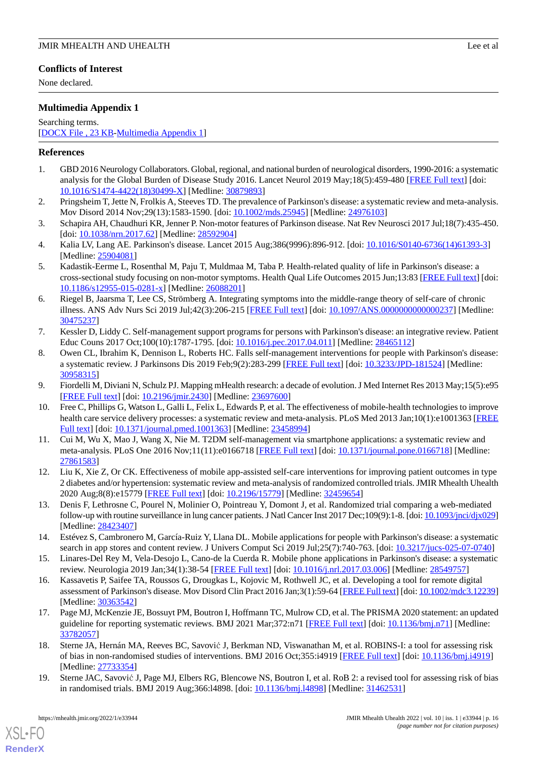# **Conflicts of Interest**

None declared.

# <span id="page-15-17"></span>**Multimedia Appendix 1**

Searching terms.

[[DOCX File , 23 KB](https://jmir.org/api/download?alt_name=mhealth_v10i1e33944_app1.docx&filename=48cb7254519ad014e143bb49461c2e85.docx)-[Multimedia Appendix 1\]](https://jmir.org/api/download?alt_name=mhealth_v10i1e33944_app1.docx&filename=48cb7254519ad014e143bb49461c2e85.docx)

# <span id="page-15-0"></span>**References**

- <span id="page-15-1"></span>1. GBD 2016 Neurology Collaborators. Global, regional, and national burden of neurological disorders, 1990-2016: a systematic analysis for the Global Burden of Disease Study 2016. Lancet Neurol 2019 May;18(5):459-480 [\[FREE Full text\]](https://linkinghub.elsevier.com/retrieve/pii/S1474-4422(18)30499-X) [doi: [10.1016/S1474-4422\(18\)30499-X\]](http://dx.doi.org/10.1016/S1474-4422(18)30499-X) [Medline: [30879893\]](http://www.ncbi.nlm.nih.gov/entrez/query.fcgi?cmd=Retrieve&db=PubMed&list_uids=30879893&dopt=Abstract)
- <span id="page-15-2"></span>2. Pringsheim T, Jette N, Frolkis A, Steeves TD. The prevalence of Parkinson's disease: a systematic review and meta-analysis. Mov Disord 2014 Nov;29(13):1583-1590. [doi: [10.1002/mds.25945](http://dx.doi.org/10.1002/mds.25945)] [Medline: [24976103](http://www.ncbi.nlm.nih.gov/entrez/query.fcgi?cmd=Retrieve&db=PubMed&list_uids=24976103&dopt=Abstract)]
- <span id="page-15-3"></span>3. Schapira AH, Chaudhuri KR, Jenner P. Non-motor features of Parkinson disease. Nat Rev Neurosci 2017 Jul;18(7):435-450. [doi: [10.1038/nrn.2017.62\]](http://dx.doi.org/10.1038/nrn.2017.62) [Medline: [28592904](http://www.ncbi.nlm.nih.gov/entrez/query.fcgi?cmd=Retrieve&db=PubMed&list_uids=28592904&dopt=Abstract)]
- <span id="page-15-4"></span>4. Kalia LV, Lang AE. Parkinson's disease. Lancet 2015 Aug;386(9996):896-912. [doi: [10.1016/S0140-6736\(14\)61393-3](http://dx.doi.org/10.1016/S0140-6736(14)61393-3)] [Medline: [25904081](http://www.ncbi.nlm.nih.gov/entrez/query.fcgi?cmd=Retrieve&db=PubMed&list_uids=25904081&dopt=Abstract)]
- <span id="page-15-5"></span>5. Kadastik-Eerme L, Rosenthal M, Paju T, Muldmaa M, Taba P. Health-related quality of life in Parkinson's disease: a cross-sectional study focusing on non-motor symptoms. Health Qual Life Outcomes 2015 Jun;13:83 [[FREE Full text](https://hqlo.biomedcentral.com/articles/10.1186/s12955-015-0281-x)] [doi: [10.1186/s12955-015-0281-x\]](http://dx.doi.org/10.1186/s12955-015-0281-x) [Medline: [26088201](http://www.ncbi.nlm.nih.gov/entrez/query.fcgi?cmd=Retrieve&db=PubMed&list_uids=26088201&dopt=Abstract)]
- <span id="page-15-6"></span>6. Riegel B, Jaarsma T, Lee CS, Strömberg A. Integrating symptoms into the middle-range theory of self-care of chronic illness. ANS Adv Nurs Sci 2019 Jul;42(3):206-215 [\[FREE Full text\]](http://europepmc.org/abstract/MED/30475237) [doi: [10.1097/ANS.0000000000000237](http://dx.doi.org/10.1097/ANS.0000000000000237)] [Medline: [30475237](http://www.ncbi.nlm.nih.gov/entrez/query.fcgi?cmd=Retrieve&db=PubMed&list_uids=30475237&dopt=Abstract)]
- <span id="page-15-7"></span>7. Kessler D, Liddy C. Self-management support programs for persons with Parkinson's disease: an integrative review. Patient Educ Couns 2017 Oct;100(10):1787-1795. [doi: [10.1016/j.pec.2017.04.011](http://dx.doi.org/10.1016/j.pec.2017.04.011)] [Medline: [28465112](http://www.ncbi.nlm.nih.gov/entrez/query.fcgi?cmd=Retrieve&db=PubMed&list_uids=28465112&dopt=Abstract)]
- <span id="page-15-9"></span><span id="page-15-8"></span>8. Owen CL, Ibrahim K, Dennison L, Roberts HC. Falls self-management interventions for people with Parkinson's disease: a systematic review. J Parkinsons Dis 2019 Feb;9(2):283-299 [\[FREE Full text\]](http://europepmc.org/abstract/MED/30958315) [doi: [10.3233/JPD-181524](http://dx.doi.org/10.3233/JPD-181524)] [Medline: [30958315](http://www.ncbi.nlm.nih.gov/entrez/query.fcgi?cmd=Retrieve&db=PubMed&list_uids=30958315&dopt=Abstract)]
- 9. Fiordelli M, Diviani N, Schulz PJ. Mapping mHealth research: a decade of evolution. J Med Internet Res 2013 May;15(5):e95 [[FREE Full text](https://www.jmir.org/2013/5/e95/)] [doi: [10.2196/jmir.2430](http://dx.doi.org/10.2196/jmir.2430)] [Medline: [23697600](http://www.ncbi.nlm.nih.gov/entrez/query.fcgi?cmd=Retrieve&db=PubMed&list_uids=23697600&dopt=Abstract)]
- <span id="page-15-10"></span>10. Free C, Phillips G, Watson L, Galli L, Felix L, Edwards P, et al. The effectiveness of mobile-health technologies to improve health care service delivery processes: a systematic review and meta-analysis. PLoS Med 2013 Jan;10(1):e1001363 [\[FREE](http://dx.plos.org/10.1371/journal.pmed.1001363) [Full text\]](http://dx.plos.org/10.1371/journal.pmed.1001363) [doi: [10.1371/journal.pmed.1001363](http://dx.doi.org/10.1371/journal.pmed.1001363)] [Medline: [23458994\]](http://www.ncbi.nlm.nih.gov/entrez/query.fcgi?cmd=Retrieve&db=PubMed&list_uids=23458994&dopt=Abstract)
- <span id="page-15-12"></span><span id="page-15-11"></span>11. Cui M, Wu X, Mao J, Wang X, Nie M. T2DM self-management via smartphone applications: a systematic review and meta-analysis. PLoS One 2016 Nov;11(11):e0166718 [[FREE Full text\]](http://dx.plos.org/10.1371/journal.pone.0166718) [doi: [10.1371/journal.pone.0166718](http://dx.doi.org/10.1371/journal.pone.0166718)] [Medline: [27861583](http://www.ncbi.nlm.nih.gov/entrez/query.fcgi?cmd=Retrieve&db=PubMed&list_uids=27861583&dopt=Abstract)]
- <span id="page-15-13"></span>12. Liu K, Xie Z, Or CK. Effectiveness of mobile app-assisted self-care interventions for improving patient outcomes in type 2 diabetes and/or hypertension: systematic review and meta-analysis of randomized controlled trials. JMIR Mhealth Uhealth 2020 Aug;8(8):e15779 [[FREE Full text](https://mhealth.jmir.org/2020/8/e15779/)] [doi: [10.2196/15779\]](http://dx.doi.org/10.2196/15779) [Medline: [32459654](http://www.ncbi.nlm.nih.gov/entrez/query.fcgi?cmd=Retrieve&db=PubMed&list_uids=32459654&dopt=Abstract)]
- <span id="page-15-14"></span>13. Denis F, Lethrosne C, Pourel N, Molinier O, Pointreau Y, Domont J, et al. Randomized trial comparing a web-mediated follow-up with routine surveillance in lung cancer patients. J Natl Cancer Inst 2017 Dec;109(9):1-8. [doi: [10.1093/jnci/djx029\]](http://dx.doi.org/10.1093/jnci/djx029) [Medline: [28423407](http://www.ncbi.nlm.nih.gov/entrez/query.fcgi?cmd=Retrieve&db=PubMed&list_uids=28423407&dopt=Abstract)]
- <span id="page-15-15"></span>14. Estévez S, Cambronero M, García-Ruiz Y, Llana DL. Mobile applications for people with Parkinson's disease: a systematic search in app stores and content review. J Univers Comput Sci 2019 Jul;25(7):740-763. [doi:  $10.3217/$ jucs-025-07-0740]
- <span id="page-15-16"></span>15. Linares-Del Rey M, Vela-Desojo L, Cano-de la Cuerda R. Mobile phone applications in Parkinson's disease: a systematic review. Neurologia 2019 Jan;34(1):38-54 [\[FREE Full text\]](http://www.elsevier.es/en/linksolver/ft/pii/S0213-4853(17)30163-9) [doi: [10.1016/j.nrl.2017.03.006](http://dx.doi.org/10.1016/j.nrl.2017.03.006)] [Medline: [28549757\]](http://www.ncbi.nlm.nih.gov/entrez/query.fcgi?cmd=Retrieve&db=PubMed&list_uids=28549757&dopt=Abstract)
- <span id="page-15-18"></span>16. Kassavetis P, Saifee TA, Roussos G, Drougkas L, Kojovic M, Rothwell JC, et al. Developing a tool for remote digital assessment of Parkinson's disease. Mov Disord Clin Pract 2016 Jan;3(1):59-64 [\[FREE Full text](https://doi.org/10.1002/mdc3.12239)] [doi: [10.1002/mdc3.12239\]](http://dx.doi.org/10.1002/mdc3.12239) [Medline: [30363542](http://www.ncbi.nlm.nih.gov/entrez/query.fcgi?cmd=Retrieve&db=PubMed&list_uids=30363542&dopt=Abstract)]
- <span id="page-15-19"></span>17. Page MJ, McKenzie JE, Bossuyt PM, Boutron I, Hoffmann TC, Mulrow CD, et al. The PRISMA 2020 statement: an updated guideline for reporting systematic reviews. BMJ 2021 Mar;372:n71 [\[FREE Full text\]](http://www.bmj.com/lookup/pmidlookup?view=long&pmid=33782057) [doi: [10.1136/bmj.n71](http://dx.doi.org/10.1136/bmj.n71)] [Medline: [33782057](http://www.ncbi.nlm.nih.gov/entrez/query.fcgi?cmd=Retrieve&db=PubMed&list_uids=33782057&dopt=Abstract)]
- 18. Sterne JA, Hernán MA, Reeves BC, Savović J, Berkman ND, Viswanathan M, et al. ROBINS-I: a tool for assessing risk of bias in non-randomised studies of interventions. BMJ 2016 Oct;355:i4919 [[FREE Full text](http://www.bmj.com/lookup/pmidlookup?view=long&pmid=27733354)] [doi: [10.1136/bmj.i4919\]](http://dx.doi.org/10.1136/bmj.i4919) [Medline: [27733354](http://www.ncbi.nlm.nih.gov/entrez/query.fcgi?cmd=Retrieve&db=PubMed&list_uids=27733354&dopt=Abstract)]
- 19. Sterne JAC, Savović J, Page MJ, Elbers RG, Blencowe NS, Boutron I, et al. RoB 2: a revised tool for assessing risk of bias in randomised trials. BMJ 2019 Aug;366:l4898. [doi: [10.1136/bmj.l4898](http://dx.doi.org/10.1136/bmj.l4898)] [Medline: [31462531](http://www.ncbi.nlm.nih.gov/entrez/query.fcgi?cmd=Retrieve&db=PubMed&list_uids=31462531&dopt=Abstract)]

[XSL](http://www.w3.org/Style/XSL)•FO **[RenderX](http://www.renderx.com/)**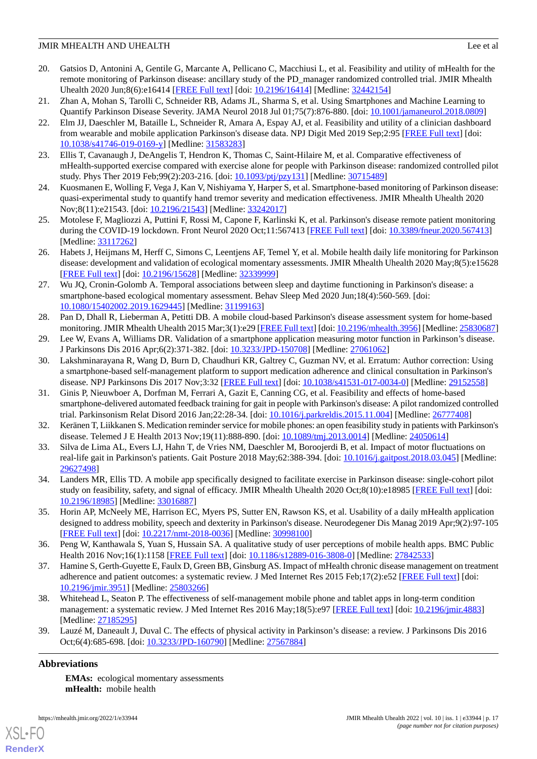- <span id="page-16-0"></span>20. Gatsios D, Antonini A, Gentile G, Marcante A, Pellicano C, Macchiusi L, et al. Feasibility and utility of mHealth for the remote monitoring of Parkinson disease: ancillary study of the PD\_manager randomized controlled trial. JMIR Mhealth Uhealth 2020 Jun;8(6):e16414 [[FREE Full text\]](https://mhealth.jmir.org/2020/6/e16414/) [doi: [10.2196/16414](http://dx.doi.org/10.2196/16414)] [Medline: [32442154](http://www.ncbi.nlm.nih.gov/entrez/query.fcgi?cmd=Retrieve&db=PubMed&list_uids=32442154&dopt=Abstract)]
- <span id="page-16-10"></span><span id="page-16-1"></span>21. Zhan A, Mohan S, Tarolli C, Schneider RB, Adams JL, Sharma S, et al. Using Smartphones and Machine Learning to Quantify Parkinson Disease Severity. JAMA Neurol 2018 Jul 01;75(7):876-880. [doi: [10.1001/jamaneurol.2018.0809](http://dx.doi.org/10.1001/jamaneurol.2018.0809)]
- 22. Elm JJ, Daeschler M, Bataille L, Schneider R, Amara A, Espay AJ, et al. Feasibility and utility of a clinician dashboard from wearable and mobile application Parkinson's disease data. NPJ Digit Med 2019 Sep;2:95 [\[FREE Full text\]](https://doi.org/10.1038/s41746-019-0169-y) [doi: [10.1038/s41746-019-0169-y\]](http://dx.doi.org/10.1038/s41746-019-0169-y) [Medline: [31583283](http://www.ncbi.nlm.nih.gov/entrez/query.fcgi?cmd=Retrieve&db=PubMed&list_uids=31583283&dopt=Abstract)]
- <span id="page-16-3"></span><span id="page-16-2"></span>23. Ellis T, Cavanaugh J, DeAngelis T, Hendron K, Thomas C, Saint-Hilaire M, et al. Comparative effectiveness of mHealth-supported exercise compared with exercise alone for people with Parkinson disease: randomized controlled pilot study. Phys Ther 2019 Feb;99(2):203-216. [doi: [10.1093/ptj/pzy131](http://dx.doi.org/10.1093/ptj/pzy131)] [Medline: [30715489](http://www.ncbi.nlm.nih.gov/entrez/query.fcgi?cmd=Retrieve&db=PubMed&list_uids=30715489&dopt=Abstract)]
- <span id="page-16-13"></span>24. Kuosmanen E, Wolling F, Vega J, Kan V, Nishiyama Y, Harper S, et al. Smartphone-based monitoring of Parkinson disease: quasi-experimental study to quantify hand tremor severity and medication effectiveness. JMIR Mhealth Uhealth 2020 Nov;8(11):e21543. [doi: [10.2196/21543\]](http://dx.doi.org/10.2196/21543) [Medline: [33242017\]](http://www.ncbi.nlm.nih.gov/entrez/query.fcgi?cmd=Retrieve&db=PubMed&list_uids=33242017&dopt=Abstract)
- <span id="page-16-11"></span>25. Motolese F, Magliozzi A, Puttini F, Rossi M, Capone F, Karlinski K, et al. Parkinson's disease remote patient monitoring during the COVID-19 lockdown. Front Neurol 2020 Oct;11:567413 [[FREE Full text](https://doi.org/10.3389/fneur.2020.567413)] [doi: [10.3389/fneur.2020.567413](http://dx.doi.org/10.3389/fneur.2020.567413)] [Medline: [33117262](http://www.ncbi.nlm.nih.gov/entrez/query.fcgi?cmd=Retrieve&db=PubMed&list_uids=33117262&dopt=Abstract)]
- <span id="page-16-14"></span>26. Habets J, Heijmans M, Herff C, Simons C, Leentjens AF, Temel Y, et al. Mobile health daily life monitoring for Parkinson disease: development and validation of ecological momentary assessments. JMIR Mhealth Uhealth 2020 May;8(5):e15628 [[FREE Full text](https://mhealth.jmir.org/2020/5/e15628/)] [doi: [10.2196/15628\]](http://dx.doi.org/10.2196/15628) [Medline: [32339999\]](http://www.ncbi.nlm.nih.gov/entrez/query.fcgi?cmd=Retrieve&db=PubMed&list_uids=32339999&dopt=Abstract)
- <span id="page-16-8"></span>27. Wu JQ, Cronin-Golomb A. Temporal associations between sleep and daytime functioning in Parkinson's disease: a smartphone-based ecological momentary assessment. Behav Sleep Med 2020 Jun;18(4):560-569. [doi: [10.1080/15402002.2019.1629445\]](http://dx.doi.org/10.1080/15402002.2019.1629445) [Medline: [31199163\]](http://www.ncbi.nlm.nih.gov/entrez/query.fcgi?cmd=Retrieve&db=PubMed&list_uids=31199163&dopt=Abstract)
- <span id="page-16-5"></span><span id="page-16-4"></span>28. Pan D, Dhall R, Lieberman A, Petitti DB. A mobile cloud-based Parkinson's disease assessment system for home-based monitoring. JMIR Mhealth Uhealth 2015 Mar;3(1):e29 [[FREE Full text\]](https://mhealth.jmir.org/2015/1/e29/) [doi: [10.2196/mhealth.3956](http://dx.doi.org/10.2196/mhealth.3956)] [Medline: [25830687\]](http://www.ncbi.nlm.nih.gov/entrez/query.fcgi?cmd=Retrieve&db=PubMed&list_uids=25830687&dopt=Abstract)
- 29. Lee W, Evans A, Williams DR. Validation of a smartphone application measuring motor function in Parkinson's disease. J Parkinsons Dis 2016 Apr;6(2):371-382. [doi: [10.3233/JPD-150708\]](http://dx.doi.org/10.3233/JPD-150708) [Medline: [27061062\]](http://www.ncbi.nlm.nih.gov/entrez/query.fcgi?cmd=Retrieve&db=PubMed&list_uids=27061062&dopt=Abstract)
- <span id="page-16-6"></span>30. Lakshminarayana R, Wang D, Burn D, Chaudhuri KR, Galtrey C, Guzman NV, et al. Erratum: Author correction: Using a smartphone-based self-management platform to support medication adherence and clinical consultation in Parkinson's disease. NPJ Parkinsons Dis 2017 Nov;3:32 [\[FREE Full text\]](https://doi.org/10.1038/s41531-017-0034-0) [doi: [10.1038/s41531-017-0034-0\]](http://dx.doi.org/10.1038/s41531-017-0034-0) [Medline: [29152558\]](http://www.ncbi.nlm.nih.gov/entrez/query.fcgi?cmd=Retrieve&db=PubMed&list_uids=29152558&dopt=Abstract)
- <span id="page-16-9"></span><span id="page-16-7"></span>31. Ginis P, Nieuwboer A, Dorfman M, Ferrari A, Gazit E, Canning CG, et al. Feasibility and effects of home-based smartphone-delivered automated feedback training for gait in people with Parkinson's disease: A pilot randomized controlled trial. Parkinsonism Relat Disord 2016 Jan;22:28-34. [doi: [10.1016/j.parkreldis.2015.11.004\]](http://dx.doi.org/10.1016/j.parkreldis.2015.11.004) [Medline: [26777408\]](http://www.ncbi.nlm.nih.gov/entrez/query.fcgi?cmd=Retrieve&db=PubMed&list_uids=26777408&dopt=Abstract)
- <span id="page-16-12"></span>32. Keränen T, Liikkanen S. Medication reminder service for mobile phones: an open feasibility study in patients with Parkinson's disease. Telemed J E Health 2013 Nov;19(11):888-890. [doi: [10.1089/tmj.2013.0014](http://dx.doi.org/10.1089/tmj.2013.0014)] [Medline: [24050614](http://www.ncbi.nlm.nih.gov/entrez/query.fcgi?cmd=Retrieve&db=PubMed&list_uids=24050614&dopt=Abstract)]
- <span id="page-16-15"></span>33. Silva de Lima AL, Evers LJ, Hahn T, de Vries NM, Daeschler M, Boroojerdi B, et al. Impact of motor fluctuations on real-life gait in Parkinson's patients. Gait Posture 2018 May;62:388-394. [doi: [10.1016/j.gaitpost.2018.03.045\]](http://dx.doi.org/10.1016/j.gaitpost.2018.03.045) [Medline: [29627498](http://www.ncbi.nlm.nih.gov/entrez/query.fcgi?cmd=Retrieve&db=PubMed&list_uids=29627498&dopt=Abstract)]
- <span id="page-16-16"></span>34. Landers MR, Ellis TD. A mobile app specifically designed to facilitate exercise in Parkinson disease: single-cohort pilot study on feasibility, safety, and signal of efficacy. JMIR Mhealth Uhealth 2020 Oct;8(10):e18985 [[FREE Full text](https://mhealth.jmir.org/2020/10/e18985/)] [doi: [10.2196/18985\]](http://dx.doi.org/10.2196/18985) [Medline: [33016887\]](http://www.ncbi.nlm.nih.gov/entrez/query.fcgi?cmd=Retrieve&db=PubMed&list_uids=33016887&dopt=Abstract)
- <span id="page-16-17"></span>35. Horin AP, McNeely ME, Harrison EC, Myers PS, Sutter EN, Rawson KS, et al. Usability of a daily mHealth application designed to address mobility, speech and dexterity in Parkinson's disease. Neurodegener Dis Manag 2019 Apr;9(2):97-105 [[FREE Full text](http://europepmc.org/abstract/MED/30998100)] [doi: [10.2217/nmt-2018-0036\]](http://dx.doi.org/10.2217/nmt-2018-0036) [Medline: [30998100\]](http://www.ncbi.nlm.nih.gov/entrez/query.fcgi?cmd=Retrieve&db=PubMed&list_uids=30998100&dopt=Abstract)
- <span id="page-16-18"></span>36. Peng W, Kanthawala S, Yuan S, Hussain SA. A qualitative study of user perceptions of mobile health apps. BMC Public Health 2016 Nov;16(1):1158 [\[FREE Full text\]](https://bmcpublichealth.biomedcentral.com/articles/10.1186/s12889-016-3808-0) [doi: [10.1186/s12889-016-3808-0](http://dx.doi.org/10.1186/s12889-016-3808-0)] [Medline: [27842533\]](http://www.ncbi.nlm.nih.gov/entrez/query.fcgi?cmd=Retrieve&db=PubMed&list_uids=27842533&dopt=Abstract)
- <span id="page-16-19"></span>37. Hamine S, Gerth-Guyette E, Faulx D, Green BB, Ginsburg AS. Impact of mHealth chronic disease management on treatment adherence and patient outcomes: a systematic review. J Med Internet Res 2015 Feb;17(2):e52 [[FREE Full text](https://www.jmir.org/2015/2/e52/)] [doi: [10.2196/jmir.3951](http://dx.doi.org/10.2196/jmir.3951)] [Medline: [25803266](http://www.ncbi.nlm.nih.gov/entrez/query.fcgi?cmd=Retrieve&db=PubMed&list_uids=25803266&dopt=Abstract)]
- 38. Whitehead L, Seaton P. The effectiveness of self-management mobile phone and tablet apps in long-term condition management: a systematic review. J Med Internet Res 2016 May;18(5):e97 [\[FREE Full text\]](http://www.jmir.org/2016/5/e97/) [doi: [10.2196/jmir.4883\]](http://dx.doi.org/10.2196/jmir.4883) [Medline: [27185295](http://www.ncbi.nlm.nih.gov/entrez/query.fcgi?cmd=Retrieve&db=PubMed&list_uids=27185295&dopt=Abstract)]
- 39. Lauzé M, Daneault J, Duval C. The effects of physical activity in Parkinson's disease: a review. J Parkinsons Dis 2016 Oct;6(4):685-698. [doi: [10.3233/JPD-160790](http://dx.doi.org/10.3233/JPD-160790)] [Medline: [27567884\]](http://www.ncbi.nlm.nih.gov/entrez/query.fcgi?cmd=Retrieve&db=PubMed&list_uids=27567884&dopt=Abstract)

## **Abbreviations**

[XSL](http://www.w3.org/Style/XSL)•FO **[RenderX](http://www.renderx.com/)**

**EMAs:** ecological momentary assessments **mHealth:** mobile health